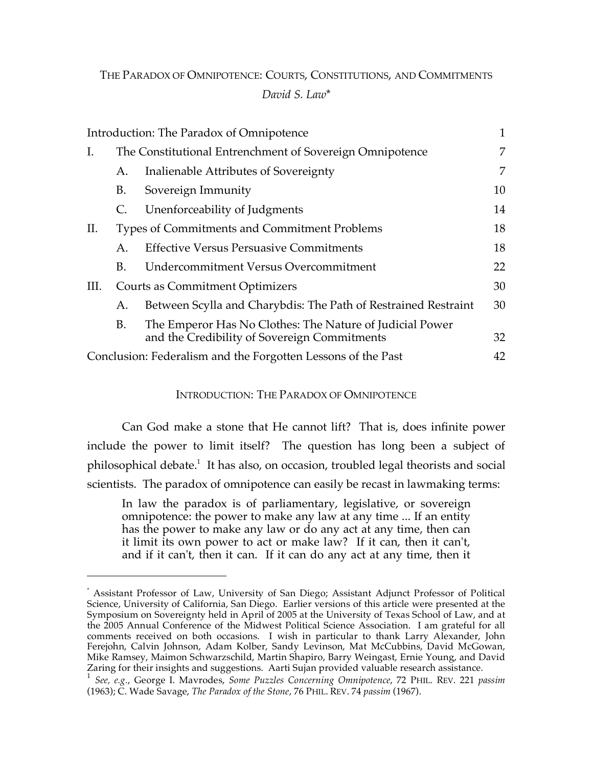# THE PARADOX OF OMNIPOTENCE: COURTS, CONSTITUTIONS, AND COMMITMENTS *David S. Law*\*

|      |                                                              | Introduction: The Paradox of Omnipotence                                                                 | $\mathbf{1}$ |
|------|--------------------------------------------------------------|----------------------------------------------------------------------------------------------------------|--------------|
| Ι.   | The Constitutional Entrenchment of Sovereign Omnipotence     |                                                                                                          | 7            |
|      | А.                                                           | Inalienable Attributes of Sovereignty                                                                    | 7            |
|      | B.                                                           | Sovereign Immunity                                                                                       | 10           |
|      | C.                                                           | Unenforceability of Judgments                                                                            | 14           |
| П.   | Types of Commitments and Commitment Problems                 |                                                                                                          | 18           |
|      | A.                                                           | <b>Effective Versus Persuasive Commitments</b>                                                           | 18           |
|      | В.                                                           | Undercommitment Versus Overcommitment                                                                    | 22           |
| III. | <b>Courts as Commitment Optimizers</b>                       |                                                                                                          | 30           |
|      | A.                                                           | Between Scylla and Charybdis: The Path of Restrained Restraint                                           | 30           |
|      | B.                                                           | The Emperor Has No Clothes: The Nature of Judicial Power<br>and the Credibility of Sovereign Commitments | 32           |
|      | Conclusion: Federalism and the Forgotten Lessons of the Past |                                                                                                          |              |

# INTRODUCTION: THE PARADOX OF OMNIPOTENCE

Can God make a stone that He cannot lift? That is, does infinite power include the power to limit itself? The question has long been a subject of philosophical debate. <sup>1</sup> It has also, on occasion, troubled legal theorists and social scientists. The paradox of omnipotence can easily be recast in lawmaking terms:

In law the paradox is of parliamentary, legislative, or sovereign omnipotence: the power to make any law at any time ... If an entity has the power to make any law or do any act at any time, then can it limit its own power to act or make law? If it can, then it can't, and if it can't, then it can. If it can do any act at any time, then it

<sup>\*</sup> Assistant Professor of Law, University of San Diego; Assistant Adjunct Professor of Political Science, University of California, San Diego. Earlier versions of this article were presented at the Symposium on Sovereignty held in April of 2005 at the University of Texas School of Law, and at the 2005 Annual Conference of the Midwest Political Science Association. I am grateful for all comments received on both occasions. I wish in particular to thank Larry Alexander, John Ferejohn, Calvin Johnson, Adam Kolber, Sandy Levinson, Mat McCubbins, David McGowan, Mike Ramsey, Maimon Schwarzschild, Martin Shapiro, Barry Weingast, Ernie Young, and David Zaring for their insights and suggestions. Aarti Sujan provided valuable research assistance.<br><sup>1</sup> See, e.g., George I. Mavrodes, Some Puzzles Concerning Omnipotence, 72 PHIL. REV. 221 passim

<sup>(1963);</sup> C. Wade Savage, *The Paradox of the Stone*, 76 PHIL. REV. 74 *passim* (1967).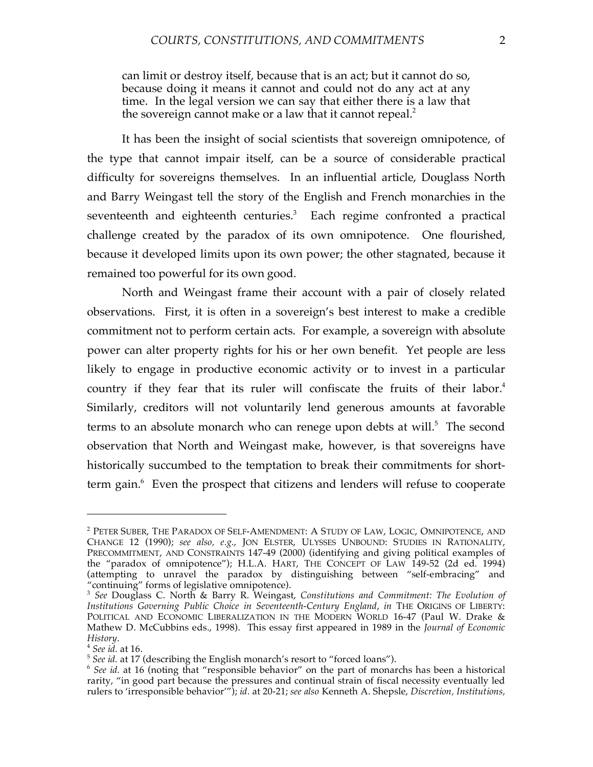can limit or destroy itself, because that is an act; but it cannot do so, because doing it means it cannot and could not do any act at any time. In the legal version we can say that either there is a law that the sovereign cannot make or a law that it cannot repeal.<sup>2</sup>

It has been the insight of social scientists that sovereign omnipotence, of the type that cannot impair itself, can be a source of considerable practical difficulty for sovereigns themselves. In an influential article, Douglass North and Barry Weingast tell the story of the English and French monarchies in the seventeenth and eighteenth centuries.<sup>3</sup> Each regime confronted a practical challenge created by the paradox of its own omnipotence. One flourished, because it developed limits upon its own power; the other stagnated, because it remained too powerful for its own good.

North and Weingast frame their account with a pair of closely related observations. First, it is often in a sovereign's best interest to make a credible commitment not to perform certain acts. For example, a sovereign with absolute power can alter property rights for his or her own benefit. Yet people are less likely to engage in productive economic activity or to invest in a particular country if they fear that its ruler will confiscate the fruits of their labor.<sup>4</sup> Similarly, creditors will not voluntarily lend generous amounts at favorable terms to an absolute monarch who can renege upon debts at will.<sup>5</sup> The second observation that North and Weingast make, however, is that sovereigns have historically succumbed to the temptation to break their commitments for shortterm gain. <sup>6</sup> Even the prospect that citizens and lenders will refuse to cooperate

<sup>2</sup> PETER SUBER, THE PARADOX OF SELF-AMENDMENT: A STUDY OF LAW, LOGIC, OMNIPOTENCE, AND CHANGE 12 (1990); *see also, e.g.*, JON ELSTER, ULYSSES UNBOUND: STUDIES IN RATIONALITY, PRECOMMITMENT, AND CONSTRAINTS 147-49 (2000) (identifying and giving political examples of the "paradox of omnipotence"); H.L.A. HART, THE CONCEPT OF LAW 149-52 (2d ed. 1994) (attempting to unravel the paradox by distinguishing between "self-embracing" and "continuing" forms of legislative omnipotence). <sup>3</sup> *See* Douglass C. North & Barry R. Weingast, *Constitutions and Commitment: The Evolution of*

*Institutions Governing Public Choice in Seventeenth-Century England*, *in* THE ORIGINS OF LIBERTY: POLITICAL AND ECONOMIC LIBERALIZATION IN THE MODERN WORLD 16-47 (Paul W. Drake & Mathew D. McCubbins eds., 1998). This essay first appeared in 1989 in the *Journal of Economic*

*History.*<br><sup>4</sup> See id. at 16.<br><sup>5</sup> See id. at 17 (describing the English monarch's resort to "forced loans").<br><sup>6</sup> See id. at 16 (noting that "responsible behavior" on the part of monarchs has been a historical rarity, "in good part because the pressures and continual strain of fiscal necessity eventually led rulers to 'irresponsible behavior'"); *id.* at 20-21; *see also* Kenneth A. Shepsle, *Discretion, Institutions,*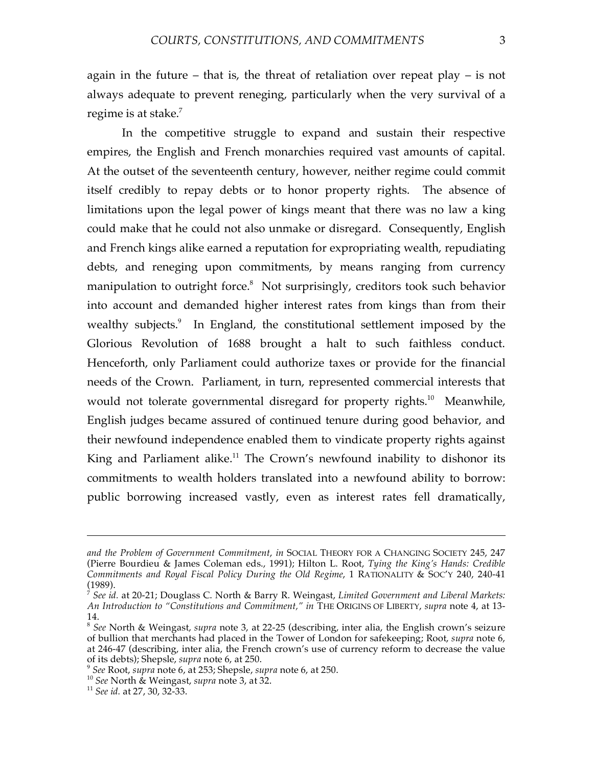In the competitive struggle to expand and sustain their respective empires, the English and French monarchies required vast amounts of capital. At the outset of the seventeenth century, however, neither regime could commit itself credibly to repay debts or to honor property rights. The absence of limitations upon the legal power of kings meant that there was no law a king could make that he could not also unmake or disregard. Consequently, English and French kings alike earned a reputation for expropriating wealth, repudiating debts, and reneging upon commitments, by means ranging from currency manipulation to outright force. <sup>8</sup> Not surprisingly, creditors took such behavior into account and demanded higher interest rates from kings than from their wealthy subjects. <sup>9</sup> In England, the constitutional settlement imposed by the Glorious Revolution of 1688 brought a halt to such faithless conduct. Henceforth, only Parliament could authorize taxes or provide for the financial needs of the Crown. Parliament, in turn, represented commercial interests that would not tolerate governmental disregard for property rights.<sup>10</sup> Meanwhile, English judges became assured of continued tenure during good behavior, and their newfound independence enabled them to vindicate property rights against King and Parliament alike.<sup>11</sup> The Crown's newfound inability to dishonor its commitments to wealth holders translated into a newfound ability to borrow: public borrowing increased vastly, even as interest rates fell dramatically,

*and the Problem of Government Commitment*, *in* SOCIAL THEORY FOR A CHANGING SOCIETY 245, 247 (Pierre Bourdieu & James Coleman eds., 1991); Hilton L. Root, *Tying the King's Hands: Credible Commitments and Royal Fiscal Policy During the Old Regime*, 1 RATIONALITY & SOC'Y 240, 240-41 (1989). <sup>7</sup> *See id.* at 20-21; Douglass C. North & Barry R. Weingast, *Limited Government and Liberal Markets:*

*An Introduction to "Constitutions and Commitment," in* THE ORIGINS OF LIBERTY, *supra* note 4, at 13-

<sup>14.</sup> <sup>8</sup> *See* North & Weingast, *supra* note 3, at 22-25 (describing, inter alia, the English crown's seizure of bullion that merchants had placed in the Tower of London for safekeeping; Root, *supra* note 6, at 246-47 (describing, inter alia, the French crown's use of currency reform to decrease the value of its debts); Shepsle, *supra* note 6, at 250.

of its devis), suppose, suppose of at 253.<br>  $^9$  See Root, suppra note 6, at 253; Shepsle, suppra note 6, at 250.<br>  $^{10}$  See North & Weingast, suppra note 3, at 32.<br>  $^{11}$  See id. at 27, 30, 32-33.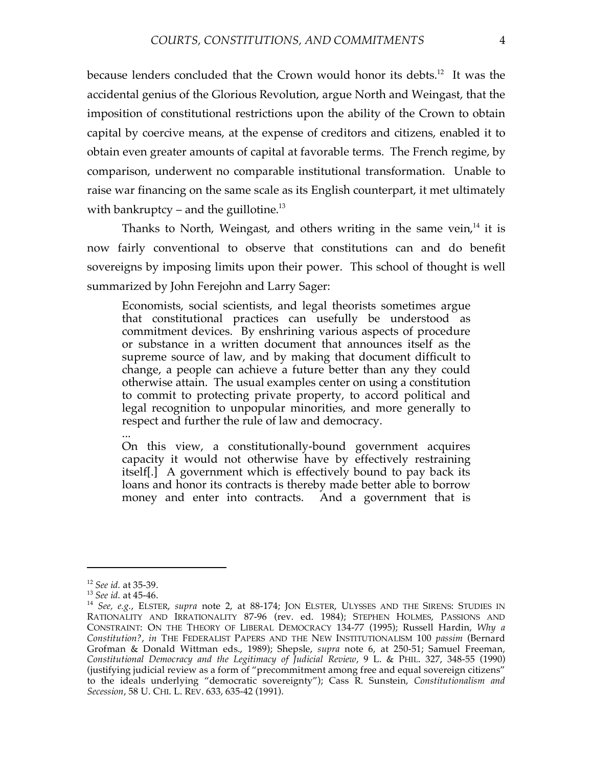because lenders concluded that the Crown would honor its debts.<sup>12</sup> It was the accidental genius of the Glorious Revolution, argue North and Weingast, that the imposition of constitutional restrictions upon the ability of the Crown to obtain capital by coercive means, at the expense of creditors and citizens, enabled it to obtain even greater amounts of capital at favorable terms. The French regime, by comparison, underwent no comparable institutional transformation. Unable to raise war financing on the same scale as its English counterpart, it met ultimately with bankruptcy – and the guillotine.<sup>13</sup>

Thanks to North, Weingast, and others writing in the same vein,<sup>14</sup> it is now fairly conventional to observe that constitutions can and do benefit sovereigns by imposing limits upon their power. This school of thought is well summarized by John Ferejohn and Larry Sager:

Economists, social scientists, and legal theorists sometimes argue that constitutional practices can usefully be understood as commitment devices. By enshrining various aspects of procedure or substance in a written document that announces itself as the supreme source of law, and by making that document difficult to change, a people can achieve a future better than any they could otherwise attain. The usual examples center on using a constitution to commit to protecting private property, to accord political and legal recognition to unpopular minorities, and more generally to respect and further the rule of law and democracy.

...

On this view, a constitutionally-bound government acquires capacity it would not otherwise have by effectively restraining itself[.] A government which is effectively bound to pay back its loans and honor its contracts is thereby made better able to borrow money and enter into contracts. And a government that is

<sup>12</sup> *See id.* at 35-39. <sup>13</sup> *See id.* at 45-46. <sup>14</sup> *See, e.g.*, ELSTER, *supra* note 2, at 88-174; JON ELSTER, ULYSSES AND THE SIRENS: STUDIES IN RATIONALITY AND IRRATIONALITY 87-96 (rev. ed. 1984); STEPHEN HOLMES, PASSIONS AND CONSTRAINT: ON THE THEORY OF LIBERAL DEMOCRACY 134-77 (1995); Russell Hardin, *Why a Constitution?*, *in* THE FEDERALIST PAPERS AND THE NEW INSTITUTIONALISM 100 *passim* (Bernard Grofman & Donald Wittman eds., 1989); Shepsle, *supra* note 6, at 250-51; Samuel Freeman, *Constitutional Democracy and the Legitimacy of Judicial Review*, 9 L. & PHIL. 327, 348-55 (1990) (justifying judicial review as a form of "precommitment among free and equal sovereign citizens" to the ideals underlying "democratic sovereignty"); Cass R. Sunstein, *Constitutionalism and Secession*, 58 U. CHI. L. REV. 633, 635-42 (1991).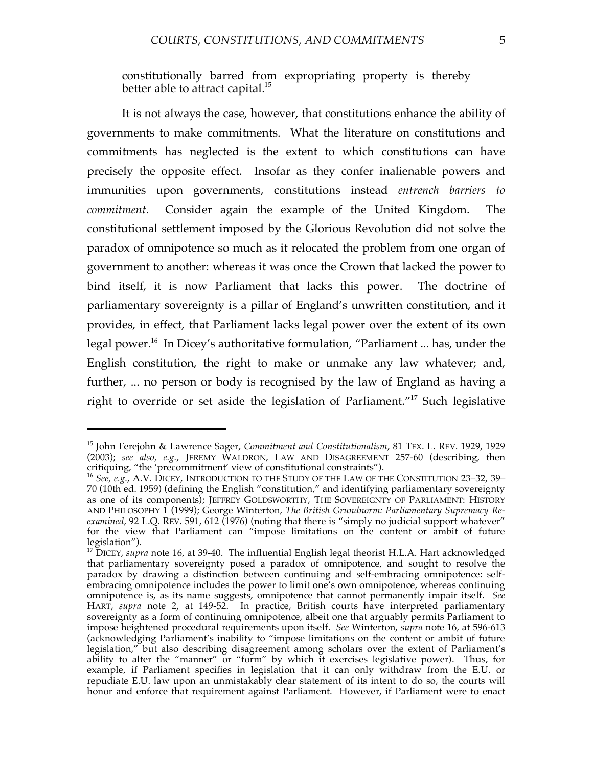constitutionally barred from expropriating property is thereby better able to attract capital.<sup>15</sup>

It is not always the case, however, that constitutions enhance the ability of governments to make commitments. What the literature on constitutions and commitments has neglected is the extent to which constitutions can have precisely the opposite effect. Insofar as they confer inalienable powers and immunities upon governments, constitutions instead *entrench barriers to commitment*. Consider again the example of the United Kingdom. The constitutional settlement imposed by the Glorious Revolution did not solve the paradox of omnipotence so much as it relocated the problem from one organ of government to another: whereas it was once the Crown that lacked the power to bind itself, it is now Parliament that lacks this power. The doctrine of parliamentary sovereignty is a pillar of England's unwritten constitution, and it provides, in effect, that Parliament lacks legal power over the extent of its own legal power. <sup>16</sup> In Dicey's authoritative formulation, "Parliament ... has, under the English constitution, the right to make or unmake any law whatever; and, further, ... no person or body is recognised by the law of England as having a right to override or set aside the legislation of Parliament."17 Such legislative

<sup>15</sup> John Ferejohn & Lawrence Sager, *Commitment and Constitutionalism*, 81 TEX. L. REV. 1929, 1929 (2003); *see also, e.g.*, JEREMY WALDRON, LAW AND DISAGREEMENT 257-60 (describing, then critiquing, "the 'precommitment' view of constitutional constraints"). <sup>16</sup> *See, e.g.*, A.V. DICEY, INTRODUCTION TO THE STUDY OF THE LAW OF THE CONSTITUTION 23–32, 39–

<sup>70</sup> (10th ed. 1959) (defining the English "constitution," and identifying parliamentary sovereignty as one of its components); JEFFREY GOLDSWORTHY, THE SOVEREIGNTY OF PARLIAMENT: HISTORY AND PHILOSOPHY 1 (1999); George Winterton, *The British Grundnorm: Parliamentary Supremacy Reexamined*, 92 L.Q. REV. 591, 612 (1976) (noting that there is "simply no judicial support whatever" for the view that Parliament can "impose limitations on the content or ambit of future legislation").<br><sup>17</sup> DICEY, *supra* note 16, at 39-40. The influential English legal theorist H.L.A. Hart acknowledged

that parliamentary sovereignty posed a paradox of omnipotence, and sought to resolve the paradox by drawing a distinction between continuing and self-embracing omnipotence: selfembracing omnipotence includes the power to limit one's own omnipotence, whereas continuing omnipotence is, as its name suggests, omnipotence that cannot permanently impair itself. *See* HART, *supra* note 2, at 149-52. In practice, British courts have interpreted parliamentary sovereignty as a form of continuing omnipotence, albeit one that arguably permits Parliament to impose heightened procedural requirements upon itself. *See* Winterton, *supra* note 16, at 596-613 (acknowledging Parliament's inability to "impose limitations on the content or ambit of future legislation," but also describing disagreement among scholars over the extent of Parliament's ability to alter the "manner" or "form" by which it exercises legislative power). Thus, for example, if Parliament specifies in legislation that it can only withdraw from the E.U. or repudiate E.U. law upon an unmistakably clear statement of its intent to do so, the courts will honor and enforce that requirement against Parliament. However, if Parliament were to enact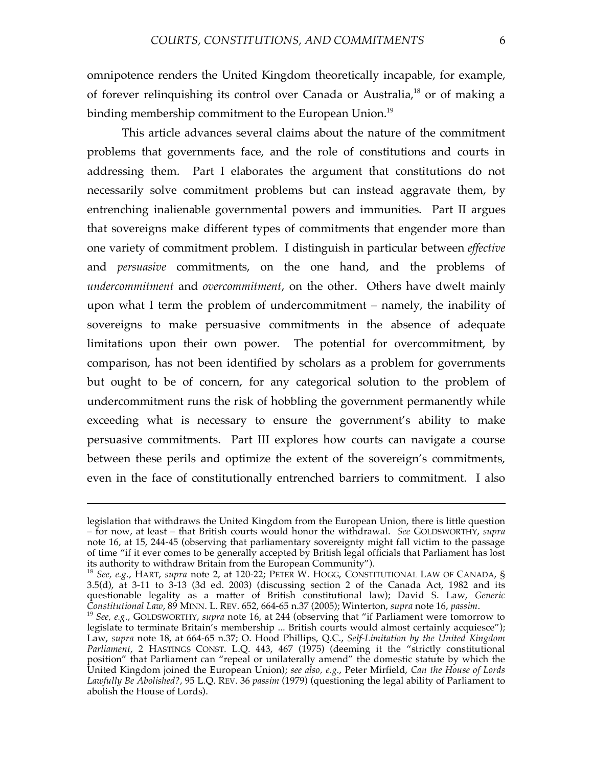omnipotence renders the United Kingdom theoretically incapable, for example, of forever relinquishing its control over Canada or Australia,<sup>18</sup> or of making a binding membership commitment to the European Union.<sup>19</sup>

This article advances several claims about the nature of the commitment problems that governments face, and the role of constitutions and courts in addressing them. Part I elaborates the argument that constitutions do not necessarily solve commitment problems but can instead aggravate them, by entrenching inalienable governmental powers and immunities. Part II argues that sovereigns make different types of commitments that engender more than one variety of commitment problem. I distinguish in particular between *effective* and *persuasive* commitments, on the one hand, and the problems of *undercommitment* and *overcommitment*, on the other. Others have dwelt mainly upon what I term the problem of undercommitment – namely, the inability of sovereigns to make persuasive commitments in the absence of adequate limitations upon their own power. The potential for overcommitment, by comparison, has not been identified by scholars as a problem for governments but ought to be of concern, for any categorical solution to the problem of undercommitment runs the risk of hobbling the government permanently while exceeding what is necessary to ensure the government's ability to make persuasive commitments. Part III explores how courts can navigate a course between these perils and optimize the extent of the sovereign's commitments, even in the face of constitutionally entrenched barriers to commitment. I also

legislation that withdraws the United Kingdom from the European Union, there is little question – for now, at least – that British courts would honor the withdrawal. *See* GOLDSWORTHY, *supra* note 16, at 15, 244-45 (observing that parliamentary sovereignty might fall victim to the passage of time "if it ever comes to be generally accepted by British legal officials that Parliament has lost its authority to withdraw Britain from the European Community").

<sup>&</sup>lt;sup>18</sup> See, e.g., HART, *supra* note 2, at 120-22; PETER W. HOGG, CONSTITUTIONAL LAW OF CANADA, § 3.5(d), at 3-11 to 3-13 (3d ed. 2003) (discussing section 2 of the Canada Act, 1982 and its questionable legality as a matter of British constitutional law); David S. Law, *Generic* Constitutional Law, 89 MINN. L. REV. 652, 664-65 n.37 (2005); Winterton, *supra* note 16, *passim*.

<sup>&</sup>lt;sup>19</sup> See, e.g., GOLDSWORTHY, supra note 16, at 244 (observing that "if Parliament were tomorrow to legislate to terminate Britain's membership ... British courts would almost certainly acquiesce"); Law, *supra* note 18, at 664-65 n.37; O. Hood Phillips, Q.C., *Self-Limitation by the United Kingdom Parliament*, 2 HASTINGS CONST. L.Q. 443, 467 (1975) (deeming it the "strictly constitutional position" that Parliament can "repeal or unilaterally amend" the domestic statute by which the United Kingdom joined the European Union); *see also, e.g.*, Peter Mirfield, *Can the House of Lords Lawfully Be Abolished?*, 95 L.Q. REV. 36 *passim* (1979) (questioning the legal ability of Parliament to abolish the House of Lords).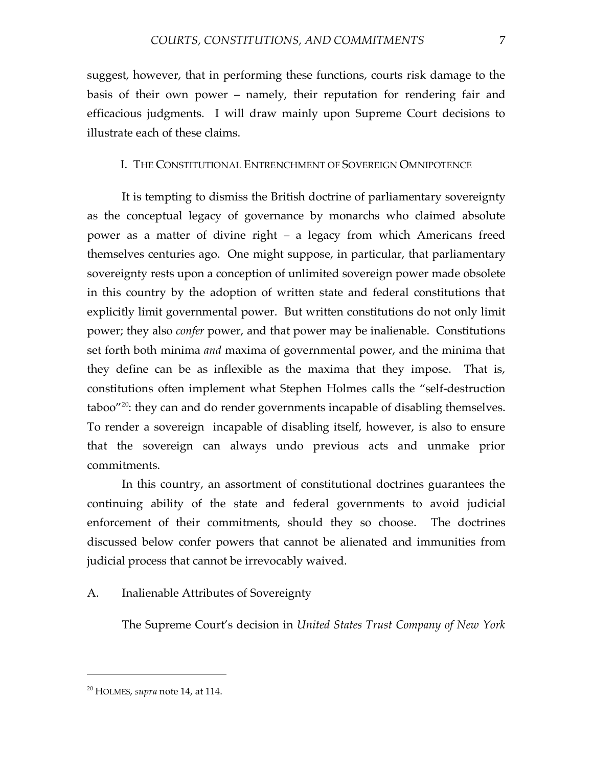suggest, however, that in performing these functions, courts risk damage to the basis of their own power – namely, their reputation for rendering fair and efficacious judgments. I will draw mainly upon Supreme Court decisions to illustrate each of these claims.

# I. THE CONSTITUTIONAL ENTRENCHMENT OF SOVEREIGN OMNIPOTENCE

It is tempting to dismiss the British doctrine of parliamentary sovereignty as the conceptual legacy of governance by monarchs who claimed absolute power as a matter of divine right – a legacy from which Americans freed themselves centuries ago. One might suppose, in particular, that parliamentary sovereignty rests upon a conception of unlimited sovereign power made obsolete in this country by the adoption of written state and federal constitutions that explicitly limit governmental power. But written constitutions do not only limit power; they also *confer* power, and that power may be inalienable. Constitutions set forth both minima *and* maxima of governmental power, and the minima that they define can be as inflexible as the maxima that they impose. That is, constitutions often implement what Stephen Holmes calls the "self-destruction  $taboo''^{20}$ : they can and do render governments incapable of disabling themselves. To render a sovereign incapable of disabling itself, however, is also to ensure that the sovereign can always undo previous acts and unmake prior commitments.

In this country, an assortment of constitutional doctrines guarantees the continuing ability of the state and federal governments to avoid judicial enforcement of their commitments, should they so choose. The doctrines discussed below confer powers that cannot be alienated and immunities from judicial process that cannot be irrevocably waived.

# A. Inalienable Attributes of Sovereignty

The Supreme Court's decision in *United States Trust Company of New York*

<sup>20</sup> HOLMES, *supra* note 14, at 114.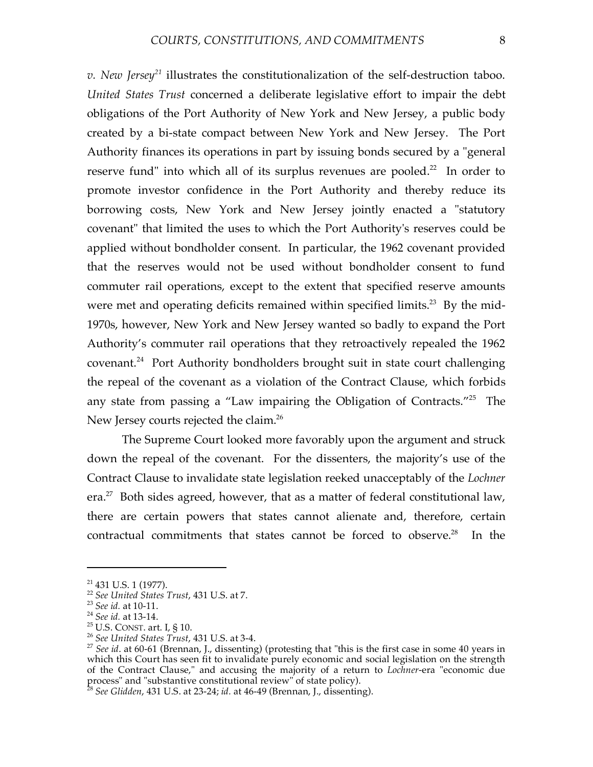*v. New Jersey<sup>21</sup>* illustrates the constitutionalization of the self-destruction taboo. *United States Trust* concerned a deliberate legislative effort to impair the debt obligations of the Port Authority of New York and New Jersey, a public body created by a bi-state compact between New York and New Jersey. The Port Authority finances its operations in part by issuing bonds secured by a "general reserve fund" into which all of its surplus revenues are pooled.<sup>22</sup> In order to promote investor confidence in the Port Authority and thereby reduce its borrowing costs, New York and New Jersey jointly enacted a "statutory covenant" that limited the uses to which the Port Authority's reserves could be applied without bondholder consent. In particular, the 1962 covenant provided that the reserves would not be used without bondholder consent to fund commuter rail operations, except to the extent that specified reserve amounts were met and operating deficits remained within specified limits.<sup>23</sup> By the mid-1970s, however, New York and New Jersey wanted so badly to expand the Port Authority's commuter rail operations that they retroactively repealed the 1962 covenant. <sup>24</sup> Port Authority bondholders brought suit in state court challenging the repeal of the covenant as a violation of the Contract Clause, which forbids any state from passing a "Law impairing the Obligation of Contracts."<sup>25</sup> The New Jersey courts rejected the claim. 26

The Supreme Court looked more favorably upon the argument and struck down the repeal of the covenant. For the dissenters, the majority's use of the Contract Clause to invalidate state legislation reeked unacceptably of the *Lochner* era.<sup>27</sup> Both sides agreed, however, that as a matter of federal constitutional law, there are certain powers that states cannot alienate and, therefore, certain contractual commitments that states cannot be forced to observe.<sup>28</sup> In the

<sup>&</sup>lt;sup>21</sup> 431 U.S. 1 (1977).<br><sup>22</sup> See United States Trust, 431 U.S. at 7.<br><sup>23</sup> See id. at 10-11.<br><sup>24</sup> See id. at 13-14.<br><sup>25</sup> U.S. CONST. art. I, § 10.<br><sup>26</sup> See United States Trust, 431 U.S. at 3-4.<br><sup>27</sup> See id. at 60-61 (Brenna which this Court has seen fit to invalidate purely economic and social legislation on the strength of the Contract Clause," and accusing the majority of a return to *Lochner*-era "economic due process" and "substantive constitutional review" of state policy). <sup>28</sup> *See Glidden*, <sup>431</sup> U.S. at 23-24; *id.* at 46-49 (Brennan, J., dissenting).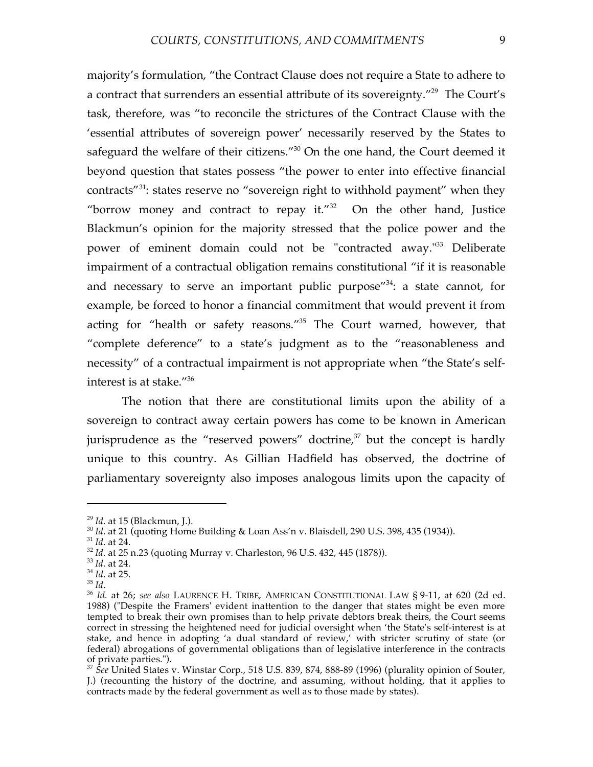majority's formulation, "the Contract Clause does not require a State to adhere to a contract that surrenders an essential attribute of its sovereignty."<sup>29</sup> The Court's task, therefore, was "to reconcile the strictures of the Contract Clause with the 'essential attributes of sovereign power' necessarily reserved by the States to safeguard the welfare of their citizens."<sup>30</sup> On the one hand, the Court deemed it beyond question that states possess "the power to enter into effective financial contracts"<sup>31</sup>: states reserve no "sovereign right to withhold payment" when they "borrow money and contract to repay it." $32$  On the other hand, Justice Blackmun's opinion for the majority stressed that the police power and the power of eminent domain could not be "contracted away."<sup>33</sup> Deliberate impairment of a contractual obligation remains constitutional "if it is reasonable and necessary to serve an important public purpose"<sup>34</sup>: a state cannot, for example, be forced to honor a financial commitment that would prevent it from acting for "health or safety reasons."35 The Court warned, however, that "complete deference" to a state's judgment as to the "reasonableness and necessity" of a contractual impairment is not appropriate when "the State's selfinterest is at stake."36

The notion that there are constitutional limits upon the ability of a sovereign to contract away certain powers has come to be known in American jurisprudence as the "reserved powers" doctrine, <sup>37</sup> but the concept is hardly unique to this country. As Gillian Hadfield has observed, the doctrine of parliamentary sovereignty also imposes analogous limits upon the capacity of

<sup>&</sup>lt;sup>29</sup> *Id.* at 15 (Blackmun, J.).<br><sup>30</sup> *Id.* at 21 (quoting Home Building & Loan Ass'n v. Blaisdell, 290 U.S. 398, 435 (1934)).<br><sup>31</sup> *Id.* at 24.<br><sup>32</sup> *Id.* at 25 n.23 (quoting Murray v. Charleston, 96 U.S. 432, 445 (1878)

<sup>1988)</sup> ("Despite the Framers' evident inattention to the danger that states might be even more tempted to break their own promises than to help private debtors break theirs, the Court seems correct in stressing the heightened need for judicial oversight when 'the State's self-interest is at stake, and hence in adopting 'a dual standard of review,' with stricter scrutiny of state (or federal) abrogations of governmental obligations than of legislative interference in the contracts of private parties."). <sup>37</sup> *See* United States v. Winstar Corp., <sup>518</sup> U.S. 839, 874, 888-89 (1996) (plurality opinion of Souter,

J.) (recounting the history of the doctrine, and assuming, without holding, that it applies to contracts made by the federal government as well as to those made by states).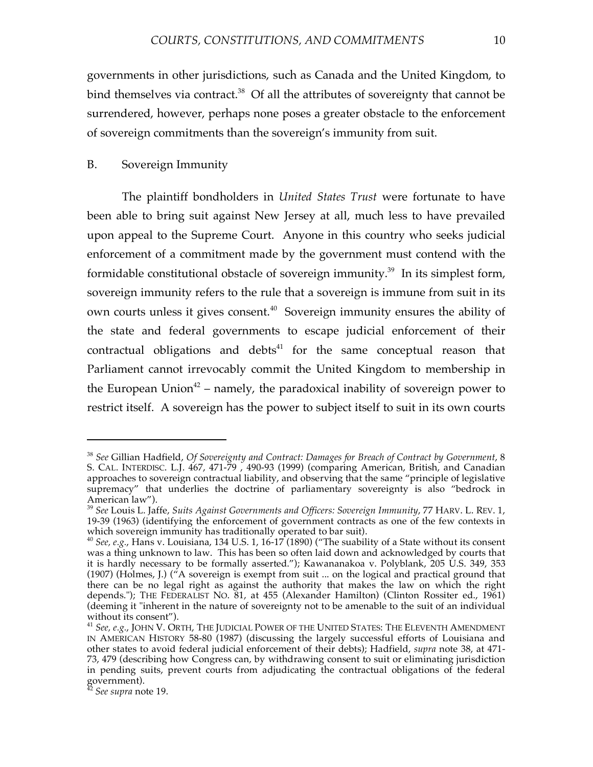governments in other jurisdictions, such as Canada and the United Kingdom, to bind themselves via contract.<sup>38</sup> Of all the attributes of sovereignty that cannot be surrendered, however, perhaps none poses a greater obstacle to the enforcement of sovereign commitments than the sovereign's immunity from suit.

#### B. Sovereign Immunity

The plaintiff bondholders in *United States Trust* were fortunate to have been able to bring suit against New Jersey at all, much less to have prevailed upon appeal to the Supreme Court. Anyone in this country who seeks judicial enforcement of a commitment made by the government must contend with the formidable constitutional obstacle of sovereign immunity.<sup>39</sup> In its simplest form, sovereign immunity refers to the rule that a sovereign is immune from suit in its own courts unless it gives consent. <sup>40</sup> Sovereign immunity ensures the ability of the state and federal governments to escape judicial enforcement of their contractual obligations and debts $41$  for the same conceptual reason that Parliament cannot irrevocably commit the United Kingdom to membership in the European Union<sup>42</sup> – namely, the paradoxical inability of sovereign power to restrict itself. A sovereign has the power to subject itself to suit in its own courts

<sup>38</sup> *See* Gillian Hadfield, *Of Sovereignty and Contract: Damages for Breach of Contract by Government*, 8 S. CAL. INTERDISC. L.J. 467, 471-79 , 490-93 (1999) (comparing American, British, and Canadian approaches to sovereign contractual liability, and observing that the same "principle of legislative supremacy" that underlies the doctrine of parliamentary sovereignty is also "bedrock in American law").

American law"). <sup>39</sup> *See* Louis L. Jaffe, *Suits Against Governments and Officers: Sovereign Immunity*, <sup>77</sup> HARV. L. REV. 1, 19-39 (1963) (identifying the enforcement of government contracts as one of the few contexts in

which sovereign immunity has traditionally operated to bar suit).<br><sup>40</sup> *See, e.g.,* Hans v. Louisiana, 134 U.S. 1, 16-17 (1890) ("The suability of a State without its consent was a thing unknown to law. This has been so often laid down and acknowledged by courts that it is hardly necessary to be formally asserted."); Kawananakoa v. Polyblank, 205 U.S. 349, 353 (1907) (Holmes, J.) ("A sovereign is exempt from suit ... on the logical and practical ground that there can be no legal right as against the authority that makes the law on which the right depends."); THE FEDERALIST NO. 81, at 455 (Alexander Hamilton) (Clinton Rossiter ed., 1961) (deeming it "inherent in the nature of sovereignty not to be amenable to the suit of an individual without its consent").

<sup>&</sup>lt;sup>41</sup> See, e.g., JOHN V. ORTH, THE JUDICIAL POWER OF THE UNITED STATES: THE ELEVENTH AMENDMENT IN AMERICAN HISTORY 58-80 (1987) (discussing the largely successful efforts of Louisiana and other states to avoid federal judicial enforcement of their debts); Hadfield, *supra* note 38, at 471- 73, 479 (describing how Congress can, by withdrawing consent to suit or eliminating jurisdiction in pending suits, prevent courts from adjudicating the contractual obligations of the federal government). <sup>42</sup> *See supra* note 19.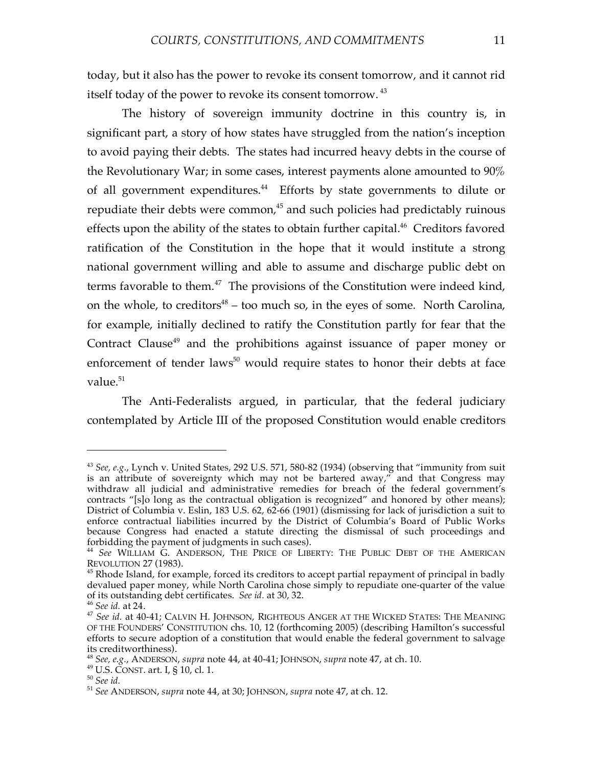today, but it also has the power to revoke its consent tomorrow, and it cannot rid itself today of the power to revoke its consent tomorrow.  $^{43}$ 

The history of sovereign immunity doctrine in this country is, in significant part, a story of how states have struggled from the nation's inception to avoid paying their debts. The states had incurred heavy debts in the course of the Revolutionary War; in some cases, interest payments alone amounted to 90% of all government expenditures. <sup>44</sup> Efforts by state governments to dilute or repudiate their debts were common, <sup>45</sup> and such policies had predictably ruinous effects upon the ability of the states to obtain further capital.<sup>46</sup> Creditors favored ratification of the Constitution in the hope that it would institute a strong national government willing and able to assume and discharge public debt on terms favorable to them.<sup>47</sup> The provisions of the Constitution were indeed kind, on the whole, to creditors<sup>48</sup> – too much so, in the eyes of some. North Carolina, for example, initially declined to ratify the Constitution partly for fear that the Contract Clause<sup>49</sup> and the prohibitions against issuance of paper money or enforcement of tender laws<sup>50</sup> would require states to honor their debts at face value. 51

The Anti-Federalists argued, in particular, that the federal judiciary contemplated by Article III of the proposed Constitution would enable creditors

<sup>43</sup> *See, e.g.*, Lynch v. United States, 292 U.S. 571, 580-82 (1934) (observing that "immunity from suit is an attribute of sovereignty which may not be bartered away," and that Congress may withdraw all judicial and administrative remedies for breach of the federal government's contracts "[s]o long as the contractual obligation is recognized" and honored by other means); District of Columbia v. Eslin, 183 U.S. 62, 62-66 (1901) (dismissing for lack of jurisdiction a suit to enforce contractual liabilities incurred by the District of Columbia's Board of Public Works because Congress had enacted a statute directing the dismissal of such proceedings and forbidding the payment of judgments in such cases). <sup>44</sup> *See* WILLIAM G. ANDERSON, THE PRICE OF LIBERTY: THE PUBLIC DEBT OF THE AMERICAN

REVOLUTION 27 (1983).<br><sup>45</sup> Rhode Island, for example, forced its creditors to accept partial repayment of principal in badly

devalued paper money, while North Carolina chose simply to repudiate one-quarter of the value of its outstanding debt certificates. *See id.* at 30, 32. <sup>46</sup> *See id.* at 24. <sup>47</sup> *See id.* at 40-41; CALVIN H. JOHNSON, RIGHTEOUS ANGER AT THE WICKED STATES: THE MEANING

OF THE FOUNDERS' CONSTITUTION chs. 10, 12 (forthcoming 2005) (describing Hamilton's successful efforts to secure adoption of a constitution that would enable the federal government to salvage its creditworthiness).

<sup>&</sup>lt;sup>48</sup> See, e.g., ANDERSON, supra note 44, at 40-41; JOHNSON, supra note 47, at ch. 10.<br><sup>49</sup> U.S. CONST. art. I, § 10, cl. 1.<br><sup>50</sup> See id.<br><sup>51</sup> See ANDERSON, supra note 44, at 30; JOHNSON, supra note 47, at ch. 12.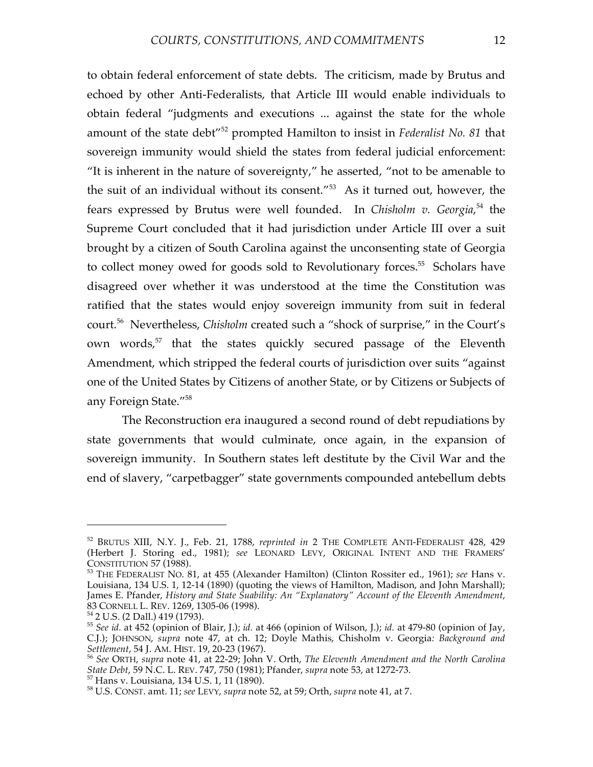to obtain federal enforcement of state debts. The criticism, made by Brutus and echoed by other Anti-Federalists, that Article III would enable individuals to obtain federal "judgments and executions ... against the state for the whole amount of the state debt"52 prompted Hamilton to insist in *Federalist No. 81* that sovereign immunity would shield the states from federal judicial enforcement: "It is inherent in the nature of sovereignty," he asserted, "not to be amenable to the suit of an individual without its consent."53 As it turned out, however, the fears expressed by Brutus were well founded. In *Chisholm v. Georgia*, <sup>54</sup> the Supreme Court concluded that it had jurisdiction under Article III over a suit brought by a citizen of South Carolina against the unconsenting state of Georgia to collect money owed for goods sold to Revolutionary forces.<sup>55</sup> Scholars have disagreed over whether it was understood at the time the Constitution was ratified that the states would enjoy sovereign immunity from suit in federal court. <sup>56</sup> Nevertheless, *Chisholm* created such a "shock of surprise," in the Court's own words, <sup>57</sup> that the states quickly secured passage of the Eleventh Amendment, which stripped the federal courts of jurisdiction over suits "against one of the United States by Citizens of another State, or by Citizens or Subjects of any Foreign State."58

The Reconstruction era inaugured a second round of debt repudiations by state governments that would culminate, once again, in the expansion of sovereign immunity. In Southern states left destitute by the Civil War and the end of slavery, "carpetbagger" state governments compounded antebellum debts

<sup>52</sup> BRUTUS XIII, N.Y. J., Feb. 21, 1788, *reprinted in* 2 THE COMPLETE ANTI-FEDERALIST 428, 429 (Herbert J. Storing ed., 1981); *see* LEONARD LEVY, ORIGINAL INTENT AND THE FRAMERS'

<sup>&</sup>lt;sup>53</sup> THE FEDERALIST NO. 81, at 455 (Alexander Hamilton) (Clinton Rossiter ed., 1961); *see* Hans v. Louisiana, 134 U.S. 1, 12-14 (1890) (quoting the views of Hamilton, Madison, and John Marshall); James E. Pfander, *History and State Suability: An "Explanatory" Account of the Eleventh Amendment*,

<sup>&</sup>lt;sup>54</sup> 2 U.S. (2 Dall.) 419 (1793). <sup>54</sup> 2 U.S. (2 Dall.) 419 (1793). **55** *See id.* at 452 (opinion of Blair, J.); *id.* at 479-80 (opinion of Jay, 65 *See id.* at 452 (opinion of Jay, C.J.); JOHNSON, *supra* note 47, at ch. 12; Doyle Mathis, Chisholm v. Georgia*: Background and Settlement*, <sup>54</sup> J. AM. HIST. 19, 20-23 (1967). <sup>56</sup> *See* ORTH, *supra* note 41, at 22-29; John V. Orth, *The Eleventh Amendment and the North Carolina*

State Debt, 59 N.C. L. REV. 747, 750 (1981); Pfander, *supra* note 53, at 1272-73.<br><sup>57</sup> Hans v. Louisiana, 134 U.S. 1, 11 (1890).<br><sup>58</sup> U.S. CONST. amt. 11; *see* LEVY, *supra* note 52, at 59; Orth, *supra* note 41, at 7.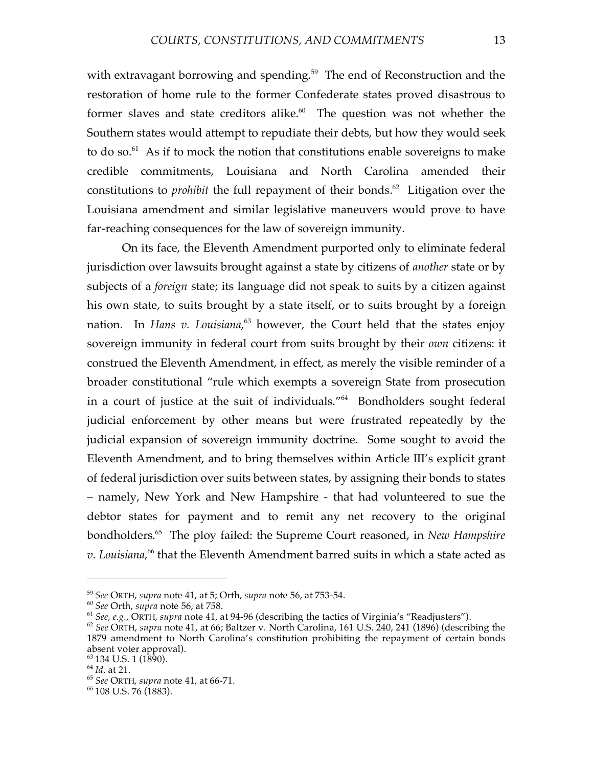with extravagant borrowing and spending.<sup>59</sup> The end of Reconstruction and the restoration of home rule to the former Confederate states proved disastrous to former slaves and state creditors alike.<sup>60</sup> The question was not whether the Southern states would attempt to repudiate their debts, but how they would seek to do so. $^{61}$  As if to mock the notion that constitutions enable sovereigns to make credible commitments, Louisiana and North Carolina amended their constitutions to *prohibit* the full repayment of their bonds. <sup>62</sup> Litigation over the Louisiana amendment and similar legislative maneuvers would prove to have far-reaching consequences for the law of sovereign immunity.

On its face, the Eleventh Amendment purported only to eliminate federal jurisdiction over lawsuits brought against a state by citizens of *another* state or by subjects of a *foreign* state; its language did not speak to suits by a citizen against his own state, to suits brought by a state itself, or to suits brought by a foreign nation. In *Hans v. Louisiana*, <sup>63</sup> however, the Court held that the states enjoy sovereign immunity in federal court from suits brought by their *own* citizens: it construed the Eleventh Amendment, in effect, as merely the visible reminder of a broader constitutional "rule which exempts a sovereign State from prosecution in a court of justice at the suit of individuals."64 Bondholders sought federal judicial enforcement by other means but were frustrated repeatedly by the judicial expansion of sovereign immunity doctrine. Some sought to avoid the Eleventh Amendment, and to bring themselves within Article III's explicit grant of federal jurisdiction over suits between states, by assigning their bonds to states – namely, New York and New Hampshire - that had volunteered to sue the debtor states for payment and to remit any net recovery to the original bondholders. <sup>65</sup> The ploy failed: the Supreme Court reasoned, in *New Hampshire v. Louisiana*, <sup>66</sup> that the Eleventh Amendment barred suits in which a state acted as

<sup>&</sup>lt;sup>59</sup> See ORTH, supra note 41, at 5; Orth, supra note 56, at 753-54.<br><sup>60</sup> See Orth, supra note 56, at 758.<br><sup>61</sup> See, e.g., ORTH, supra note 41, at 94-96 (describing the tactics of Virginia's "Readjusters").<br><sup>62</sup> See ORTH,

<sup>1879</sup> amendment to North Carolina's constitution prohibiting the repayment of certain bonds

<sup>&</sup>lt;sup>63</sup> 134 U.S. 1 (1890).<br><sup>64</sup> *Id.* at 21.<br><sup>65</sup> *See* ORTH, *supra* note 41, at 66-71.<br><sup>66</sup> 108 U.S. 76 (1883).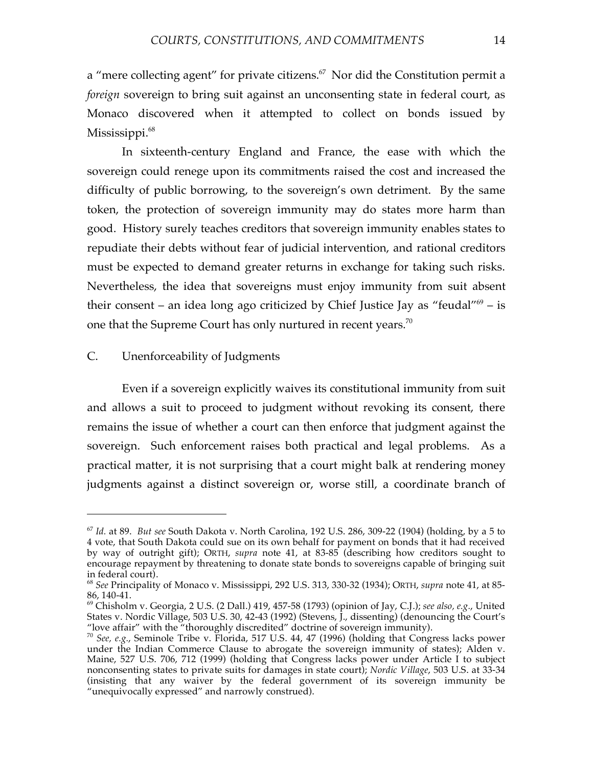a "mere collecting agent" for private citizens. $57$  Nor did the Constitution permit a *foreign* sovereign to bring suit against an unconsenting state in federal court, as Monaco discovered when it attempted to collect on bonds issued by Mississippi. 68

In sixteenth-century England and France, the ease with which the sovereign could renege upon its commitments raised the cost and increased the difficulty of public borrowing, to the sovereign's own detriment. By the same token, the protection of sovereign immunity may do states more harm than good. History surely teaches creditors that sovereign immunity enables states to repudiate their debts without fear of judicial intervention, and rational creditors must be expected to demand greater returns in exchange for taking such risks. Nevertheless, the idea that sovereigns must enjoy immunity from suit absent their consent – an idea long ago criticized by Chief Justice Jay as "feudal" $69 - is$ one that the Supreme Court has only nurtured in recent years. $^{70}$ 

## C. Unenforceability of Judgments

 $\overline{a}$ 

Even if a sovereign explicitly waives its constitutional immunity from suit and allows a suit to proceed to judgment without revoking its consent, there remains the issue of whether a court can then enforce that judgment against the sovereign. Such enforcement raises both practical and legal problems. As a practical matter, it is not surprising that a court might balk at rendering money judgments against a distinct sovereign or, worse still, a coordinate branch of

<sup>67</sup> *Id.* at 89. *But see* South Dakota v. North Carolina, 192 U.S. 286, 309-22 (1904) (holding, by a 5 to 4 vote, that South Dakota could sue on its own behalf for payment on bonds that it had received by way of outright gift); ORTH, *supra* note 41, at 83-85 (describing how creditors sought to encourage repayment by threatening to donate state bonds to sovereigns capable of bringing suit

<sup>&</sup>lt;sup>68</sup> See Principality of Monaco v. Mississippi, 292 U.S. 313, 330-32 (1934); ORTH, *supra* note 41, at 85-86, 140-41. <sup>69</sup> Chisholm v. Georgia, <sup>2</sup> U.S. (2 Dall.) 419, 457-58 (1793) (opinion of Jay, C.J.); *see also, e.g.*, United

States v. Nordic Village, 503 U.S. 30, 42-43 (1992) (Stevens, J., dissenting) (denouncing the Court's "love affair" with the "thoroughly discredited" doctrine of sovereign immunity).

<sup>&</sup>lt;sup>70</sup> See, *e.g.*, Seminole Tribe v. Florida, 517 U.S. 44, 47 (1996) (holding that Congress lacks power under the Indian Commerce Clause to abrogate the sovereign immunity of states); Alden v. Maine, 527 U.S. 706, 712 (1999) (holding that Congress lacks power under Article I to subject nonconsenting states to private suits for damages in state court); *Nordic Village*, 503 U.S. at 33-34 (insisting that any waiver by the federal government of its sovereign immunity be "unequivocally expressed" and narrowly construed).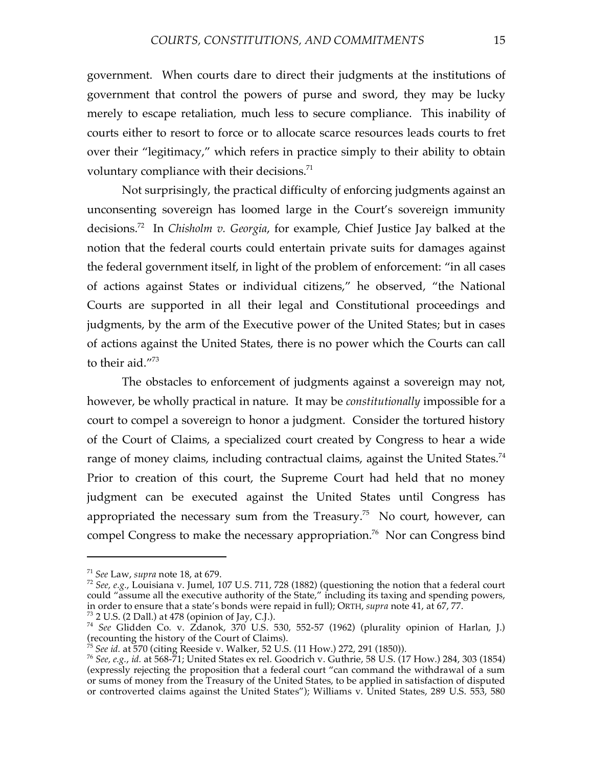government. When courts dare to direct their judgments at the institutions of government that control the powers of purse and sword, they may be lucky merely to escape retaliation, much less to secure compliance. This inability of courts either to resort to force or to allocate scarce resources leads courts to fret over their "legitimacy," which refers in practice simply to their ability to obtain voluntary compliance with their decisions.<sup>71</sup>

Not surprisingly, the practical difficulty of enforcing judgments against an unconsenting sovereign has loomed large in the Court's sovereign immunity decisions. <sup>72</sup> In *Chisholm v. Georgia*, for example, Chief Justice Jay balked at the notion that the federal courts could entertain private suits for damages against the federal government itself, in light of the problem of enforcement: "in all cases of actions against States or individual citizens," he observed, "the National Courts are supported in all their legal and Constitutional proceedings and judgments, by the arm of the Executive power of the United States; but in cases of actions against the United States, there is no power which the Courts can call to their aid."73

The obstacles to enforcement of judgments against a sovereign may not, however, be wholly practical in nature. It may be *constitutionally* impossible for a court to compel a sovereign to honor a judgment. Consider the tortured history of the Court of Claims, a specialized court created by Congress to hear a wide range of money claims, including contractual claims, against the United States.<sup>74</sup> Prior to creation of this court, the Supreme Court had held that no money judgment can be executed against the United States until Congress has appropriated the necessary sum from the Treasury.<sup>75</sup> No court, however, can compel Congress to make the necessary appropriation. <sup>76</sup> Nor can Congress bind

<sup>&</sup>lt;sup>71</sup> *See* Law, *supra* note 18, at 679.<br><sup>72</sup> *See*, *e.g.*, Louisiana v. Jumel, 107 U.S. 711, 728 (1882) (questioning the notion that a federal court could "assume all the executive authority of the State," including its taxing and spending powers, in order to ensure that a state's bonds were repaid in full); ORTH, supra note 41, at 67, 77.

 $^{73}$  2 U.S. (2 Dall.) at 478 (opinion of Jay, C.J.).<br> $^{74}$  See Glidden Co. v. Zdanok, 370 U.S. 530, 552-57 (1962) (plurality opinion of Harlan, J.) (recounting the history of the Court of Claims). <sup>75</sup> *See id.* at <sup>570</sup> (citing Reeside v. Walker, <sup>52</sup> U.S. (11 How.) 272, <sup>291</sup> (1850)). <sup>76</sup> *See, e.g.*, *id.* at 568-71; United States ex rel. Goodrich v. Guthrie, <sup>58</sup> U.S. (17 How.) 284, <sup>303</sup> (1854)

<sup>(</sup>expressly rejecting the proposition that a federal court "can command the withdrawal of a sum or sums of money from the Treasury of the United States, to be applied in satisfaction of disputed or controverted claims against the United States"); Williams v. United States, 289 U.S. 553, 580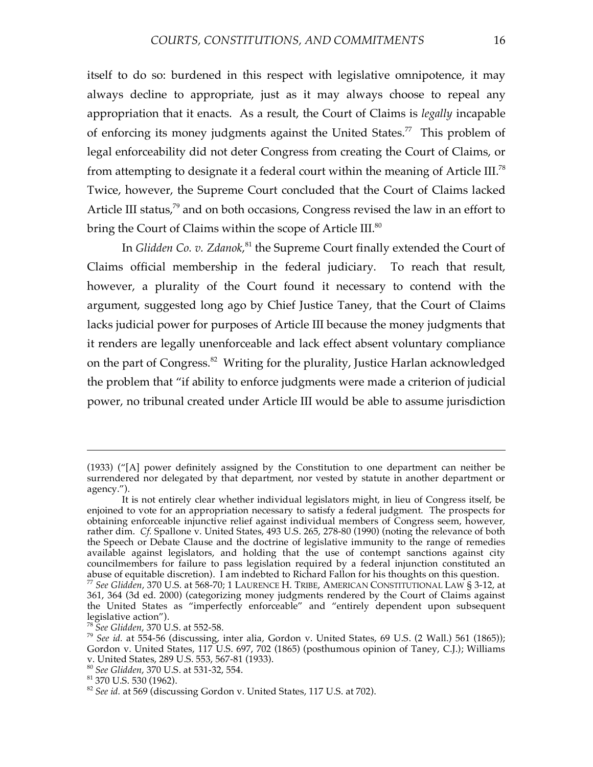itself to do so: burdened in this respect with legislative omnipotence, it may always decline to appropriate, just as it may always choose to repeal any appropriation that it enacts. As a result, the Court of Claims is *legally* incapable of enforcing its money judgments against the United States.<sup>77</sup> This problem of legal enforceability did not deter Congress from creating the Court of Claims, or from attempting to designate it a federal court within the meaning of Article III.<sup>78</sup> Twice, however, the Supreme Court concluded that the Court of Claims lacked Article III status,<sup>79</sup> and on both occasions, Congress revised the law in an effort to bring the Court of Claims within the scope of Article III. $^{\textrm{80}}$ 

In *Glidden Co. v. Zdanok*, <sup>81</sup> the Supreme Court finally extended the Court of Claims official membership in the federal judiciary. To reach that result, however, a plurality of the Court found it necessary to contend with the argument, suggested long ago by Chief Justice Taney, that the Court of Claims lacks judicial power for purposes of Article III because the money judgments that it renders are legally unenforceable and lack effect absent voluntary compliance on the part of Congress. <sup>82</sup> Writing for the plurality, Justice Harlan acknowledged the problem that "if ability to enforce judgments were made a criterion of judicial power, no tribunal created under Article III would be able to assume jurisdiction

<sup>(1933)</sup> ("[A] power definitely assigned by the Constitution to one department can neither be surrendered nor delegated by that department, nor vested by statute in another department or agency.").

It is not entirely clear whether individual legislators might, in lieu of Congress itself, be enjoined to vote for an appropriation necessary to satisfy a federal judgment. The prospects for obtaining enforceable injunctive relief against individual members of Congress seem, however, rather dim. *Cf.* Spallone v. United States, 493 U.S. 265, 278-80 (1990) (noting the relevance of both the Speech or Debate Clause and the doctrine of legislative immunity to the range of remedies available against legislators, and holding that the use of contempt sanctions against city councilmembers for failure to pass legislation required by a federal injunction constituted an abuse of equitable discretion). I am indebted to Richard Fallon for his thoughts on this question.  $^{77}$  See Glidden, 370 U.S. at 568-70; 1 LAURENCE H. TRIBE, AMERICAN CONSTITUTIONAL LAW § 3-12, at 361, 364 (3d ed. 2000) (categorizing money judgments rendered by the Court of Claims against the United States as "imperfectly enforceable" and "entirely dependent upon subsequent

<sup>&</sup>lt;sup>78</sup> See Glidden, 370 U.S. at 552-58.<br><sup>79</sup> See id. at 554-56 (discussing, inter alia, Gordon v. United States, 69 U.S. (2 Wall.) 561 (1865)); Gordon v. United States, 117 U.S. 697, 702 (1865) (posthumous opinion of Taney, C.J.); Williams v. United States, 289 U.S. 553, 567-81 (1933).<br><sup>80</sup> *See Glidden*, 370 U.S. at 531-32, 554.<br><sup>81</sup> 370 U.S. 530 (1962).<br><sup>82</sup> *See id.* at 569 (discussing Gordon v. United States, 117 U.S. at 702).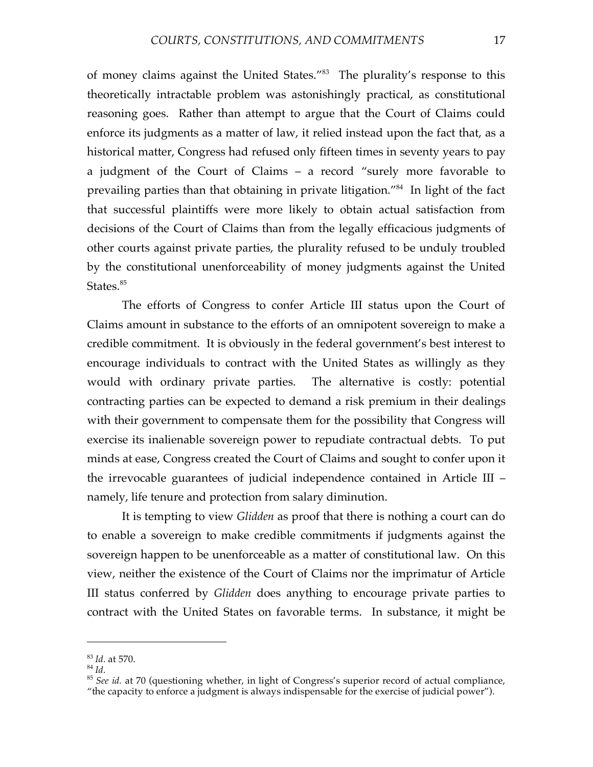of money claims against the United States.<sup>"83</sup> The plurality's response to this theoretically intractable problem was astonishingly practical, as constitutional reasoning goes. Rather than attempt to argue that the Court of Claims could enforce its judgments as a matter of law, it relied instead upon the fact that, as a historical matter, Congress had refused only fifteen times in seventy years to pay a judgment of the Court of Claims – a record "surely more favorable to prevailing parties than that obtaining in private litigation."<sup>84</sup> In light of the fact that successful plaintiffs were more likely to obtain actual satisfaction from decisions of the Court of Claims than from the legally efficacious judgments of other courts against private parties, the plurality refused to be unduly troubled by the constitutional unenforceability of money judgments against the United States. 85

The efforts of Congress to confer Article III status upon the Court of Claims amount in substance to the efforts of an omnipotent sovereign to make a credible commitment. It is obviously in the federal government's best interest to encourage individuals to contract with the United States as willingly as they would with ordinary private parties. The alternative is costly: potential contracting parties can be expected to demand a risk premium in their dealings with their government to compensate them for the possibility that Congress will exercise its inalienable sovereign power to repudiate contractual debts. To put minds at ease, Congress created the Court of Claims and sought to confer upon it the irrevocable guarantees of judicial independence contained in Article III – namely, life tenure and protection from salary diminution.

It is tempting to view *Glidden* as proof that there is nothing a court can do to enable a sovereign to make credible commitments if judgments against the sovereign happen to be unenforceable as a matter of constitutional law. On this view, neither the existence of the Court of Claims nor the imprimatur of Article III status conferred by *Glidden* does anything to encourage private parties to contract with the United States on favorable terms. In substance, it might be

<sup>&</sup>lt;sup>83</sup> *Id.* at 570.<br><sup>84</sup> *Id.* 85 *See id.* at 70 (questioning whether, in light of Congress's superior record of actual compliance, <sup>85</sup> *See id.* at 70 (questioning whether, in light of Congress's superior record of indic "the capacity to enforce a judgment is always indispensable for the exercise of judicial power").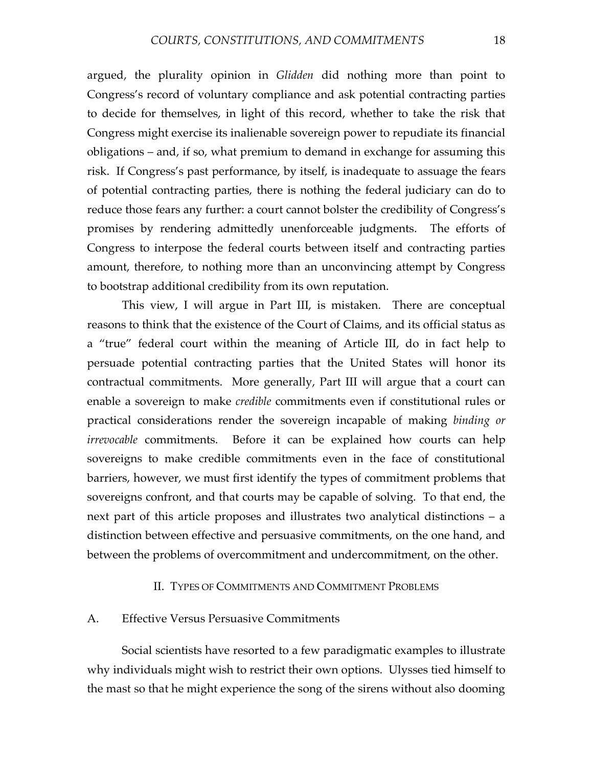argued, the plurality opinion in *Glidden* did nothing more than point to Congress's record of voluntary compliance and ask potential contracting parties to decide for themselves, in light of this record, whether to take the risk that Congress might exercise its inalienable sovereign power to repudiate its financial obligations – and, if so, what premium to demand in exchange for assuming this risk. If Congress's past performance, by itself, is inadequate to assuage the fears of potential contracting parties, there is nothing the federal judiciary can do to reduce those fears any further: a court cannot bolster the credibility of Congress's promises by rendering admittedly unenforceable judgments. The efforts of Congress to interpose the federal courts between itself and contracting parties amount, therefore, to nothing more than an unconvincing attempt by Congress to bootstrap additional credibility from its own reputation.

This view, I will argue in Part III, is mistaken. There are conceptual reasons to think that the existence of the Court of Claims, and its official status as a "true" federal court within the meaning of Article III, do in fact help to persuade potential contracting parties that the United States will honor its contractual commitments. More generally, Part III will argue that a court can enable a sovereign to make *credible* commitments even if constitutional rules or practical considerations render the sovereign incapable of making *binding or irrevocable* commitments. Before it can be explained how courts can help sovereigns to make credible commitments even in the face of constitutional barriers, however, we must first identify the types of commitment problems that sovereigns confront, and that courts may be capable of solving. To that end, the next part of this article proposes and illustrates two analytical distinctions – a distinction between effective and persuasive commitments, on the one hand, and between the problems of overcommitment and undercommitment, on the other.

#### II. TYPES OF COMMITMENTS AND COMMITMENT PROBLEMS

#### A. Effective Versus Persuasive Commitments

Social scientists have resorted to a few paradigmatic examples to illustrate why individuals might wish to restrict their own options. Ulysses tied himself to the mast so that he might experience the song of the sirens without also dooming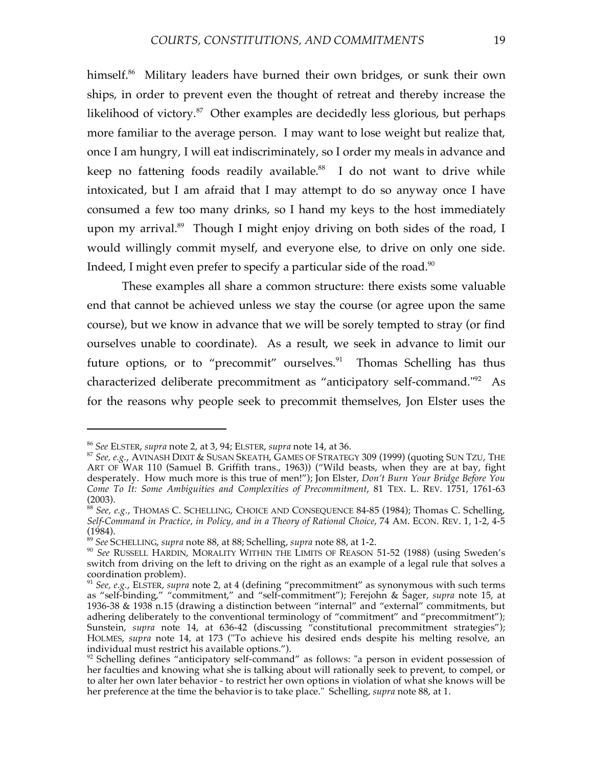himself. <sup>86</sup> Military leaders have burned their own bridges, or sunk their own ships, in order to prevent even the thought of retreat and thereby increase the likelihood of victory. <sup>87</sup> Other examples are decidedly less glorious, but perhaps more familiar to the average person. I may want to lose weight but realize that, once I am hungry, I will eat indiscriminately, so I order my meals in advance and keep no fattening foods readily available.<sup>88</sup> I do not want to drive while intoxicated, but I am afraid that I may attempt to do so anyway once I have consumed a few too many drinks, so I hand my keys to the host immediately upon my arrival.<sup>89</sup> Though I might enjoy driving on both sides of the road, I would willingly commit myself, and everyone else, to drive on only one side. Indeed, I might even prefer to specify a particular side of the road. $^{\textrm{\tiny{90}}}$ 

These examples all share a common structure: there exists some valuable end that cannot be achieved unless we stay the course (or agree upon the same course), but we know in advance that we will be sorely tempted to stray (or find ourselves unable to coordinate). As a result, we seek in advance to limit our future options, or to "precommit" ourselves.<sup>91</sup> Thomas Schelling has thus characterized deliberate precommitment as "anticipatory self-command."<sup>92</sup> As for the reasons why people seek to precommit themselves, Jon Elster uses the

<sup>86</sup> *See* ELSTER, *supra* note 2, at 3, 94; ELSTER, *supra* note 14, at 36. <sup>87</sup> *See, e.g.*, AVINASH DIXIT & SUSAN SKEATH, GAMES OF STRATEGY <sup>309</sup> (1999) (quoting SUN TZU, THE ART OF WAR 110 (Samuel B. Griffith trans., 1963)) ("Wild beasts, when they are at bay, fight desperately. How much more is this true of men!"); Jon Elster, *Don't Burn Your Bridge Before You Come To It: Some Ambiguities and Complexities of Precommitment*, 81 TEX. L. REV. 1751, 1761-63

<sup>&</sup>lt;sup>88</sup> See, e.g., THOMAS C. SCHELLING, CHOICE AND CONSEQUENCE 84-85 (1984); Thomas C. Schelling, *Self-Command in Practice, in Policy, and in a Theory of Rational Choice*, 74 AM. ECON. REV. 1, 1-2, 4-5

<sup>&</sup>lt;sup>89</sup> See SCHELLING, *supra* note 88, at 88; Schelling, *supra* note 88, at 1-2.<br><sup>90</sup> See RUSSELL HARDIN, MORALITY WITHIN THE LIMITS OF REASON 51-52 (1988) (using Sweden's switch from driving on the left to driving on the right as an example of a legal rule that solves a coordination problem).

<sup>&</sup>lt;sup>91</sup> See, *e.g.*, ELSTER, *supra* note 2, at 4 (defining "precommitment" as synonymous with such terms as "self-binding," "commitment," and "self-commitment"); Ferejohn & Sager, *supra* note 15, at 1936-38 & 1938 n.15 (drawing a distinction between "internal" and "external" commitments, but adhering deliberately to the conventional terminology of "commitment" and "precommitment"); Sunstein, *supra* note 14, at 636-42 (discussing "constitutional precommitment strategies"); HOLMES, *supra* note 14, at 173 ("To achieve his desired ends despite his melting resolve, an individual must restrict his available options.").<br><sup>92</sup> Schelling defines "anticipatory self-command" as follows: "a person in evident possession of

her faculties and knowing what she is talking about will rationally seek to prevent, to compel, or to alter her own later behavior - to restrict her own options in violation of what she knows will be her preference at the time the behavior is to take place." Schelling, *supra* note 88, at 1.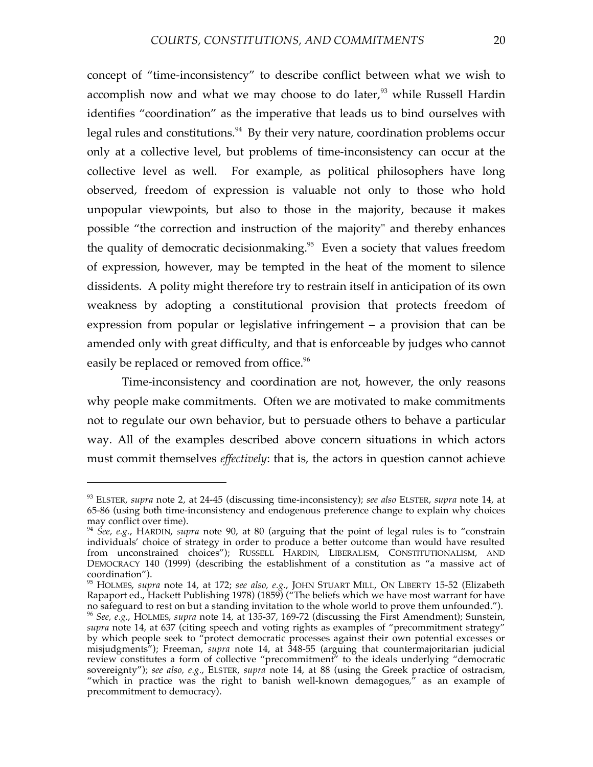concept of "time-inconsistency" to describe conflict between what we wish to accomplish now and what we may choose to do later,<sup>93</sup> while Russell Hardin identifies "coordination" as the imperative that leads us to bind ourselves with legal rules and constitutions.<sup>94</sup> By their very nature, coordination problems occur only at a collective level, but problems of time-inconsistency can occur at the collective level as well. For example, as political philosophers have long observed, freedom of expression is valuable not only to those who hold unpopular viewpoints, but also to those in the majority, because it makes possible "the correction and instruction of the majority" and thereby enhances the quality of democratic decisionmaking. <sup>95</sup> Even a society that values freedom of expression, however, may be tempted in the heat of the moment to silence dissidents. A polity might therefore try to restrain itself in anticipation of its own weakness by adopting a constitutional provision that protects freedom of expression from popular or legislative infringement – a provision that can be amended only with great difficulty, and that is enforceable by judges who cannot easily be replaced or removed from office.<sup>96</sup>

Time-inconsistency and coordination are not, however, the only reasons why people make commitments. Often we are motivated to make commitments not to regulate our own behavior, but to persuade others to behave a particular way. All of the examples described above concern situations in which actors must commit themselves *effectively*: that is, the actors in question cannot achieve

<sup>93</sup> ELSTER, *supra* note 2, at 24-45 (discussing time-inconsistency); *see also* ELSTER, *supra* note 14, at 65-86 (using both time-inconsistency and endogenous preference change to explain why choices

<sup>&</sup>lt;sup>94</sup> *See, e.g.,* HARDIN, *supra* note 90, at 80 (arguing that the point of legal rules is to "constrain" individuals' choice of strategy in order to produce a better outcome than would have resulted from unconstrained choices"); RUSSELL HARDIN, LIBERALISM, CONSTITUTIONALISM, AND DEMOCRACY 140 (1999) (describing the establishment of a constitution as "a massive act of

coordination").<br><sup>95</sup> HOLMES*, supra* note 14, at 172; *see also, e.g.,* JOHN STUART MILL, ON LIBERTY 15-52 (Elizabeth Rapaport ed., Hackett Publishing 1978) (1859) ("The beliefs which we have most warrant for have no safeguard to rest on but <sup>a</sup> standing invitation to the whole world to prove them unfounded."). <sup>96</sup> *See, e.g.*, HOLMES, *supra* note 14, at 135-37, 169-72 (discussing the First Amendment); Sunstein, supra note 14, at 637 (citing speech and voting rights as examples of "precommitment strategy" by which people seek to "protect democratic processes against their own potential excesses or misjudgments"); Freeman, *supra* note 14, at 348-55 (arguing that countermajoritarian judicial review constitutes a form of collective "precommitment" to the ideals underlying "democratic sovereignty"); *see also, e.g.*, ELSTER, *supra* note 14, at 88 (using the Greek practice of ostracism, "which in practice was the right to banish well-known demagogues," as an example of precommitment to democracy).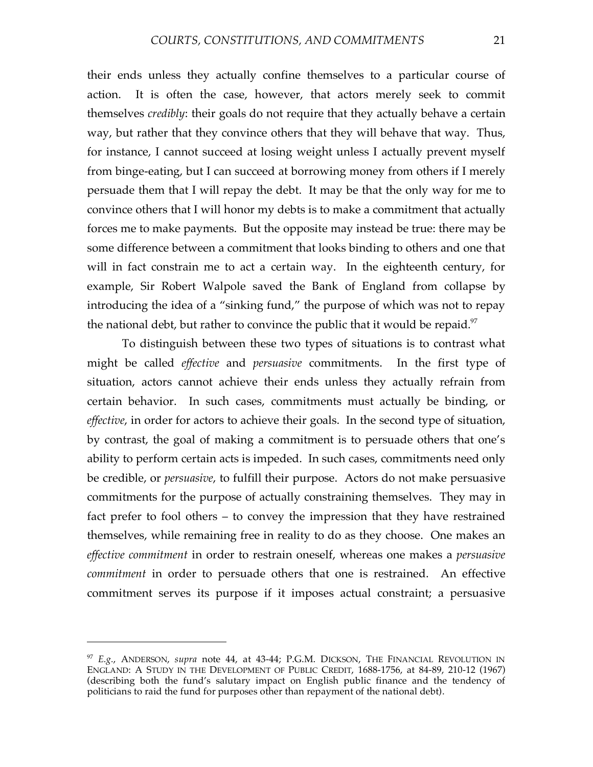their ends unless they actually confine themselves to a particular course of action. It is often the case, however, that actors merely seek to commit themselves *credibly*: their goals do not require that they actually behave a certain way, but rather that they convince others that they will behave that way. Thus, for instance, I cannot succeed at losing weight unless I actually prevent myself from binge-eating, but I can succeed at borrowing money from others if I merely persuade them that I will repay the debt. It may be that the only way for me to convince others that I will honor my debts is to make a commitment that actually forces me to make payments. But the opposite may instead be true: there may be some difference between a commitment that looks binding to others and one that will in fact constrain me to act a certain way. In the eighteenth century, for example, Sir Robert Walpole saved the Bank of England from collapse by introducing the idea of a "sinking fund," the purpose of which was not to repay the national debt, but rather to convince the public that it would be repaid. $\mathrm{^{97}}$ 

To distinguish between these two types of situations is to contrast what might be called *effective* and *persuasive* commitments. In the first type of situation, actors cannot achieve their ends unless they actually refrain from certain behavior. In such cases, commitments must actually be binding, or *effective*, in order for actors to achieve their goals. In the second type of situation, by contrast, the goal of making a commitment is to persuade others that one's ability to perform certain acts is impeded. In such cases, commitments need only be credible, or *persuasive*, to fulfill their purpose. Actors do not make persuasive commitments for the purpose of actually constraining themselves. They may in fact prefer to fool others – to convey the impression that they have restrained themselves, while remaining free in reality to do as they choose. One makes an *effective commitment* in order to restrain oneself, whereas one makes a *persuasive commitment* in order to persuade others that one is restrained. An effective commitment serves its purpose if it imposes actual constraint; a persuasive

<sup>97</sup> *E.g.*, ANDERSON, *supra* note 44, at 43-44; P.G.M. DICKSON, THE FINANCIAL REVOLUTION IN ENGLAND: A STUDY IN THE DEVELOPMENT OF PUBLIC CREDIT, 1688-1756, at 84-89, 210-12 (1967) (describing both the fund's salutary impact on English public finance and the tendency of politicians to raid the fund for purposes other than repayment of the national debt).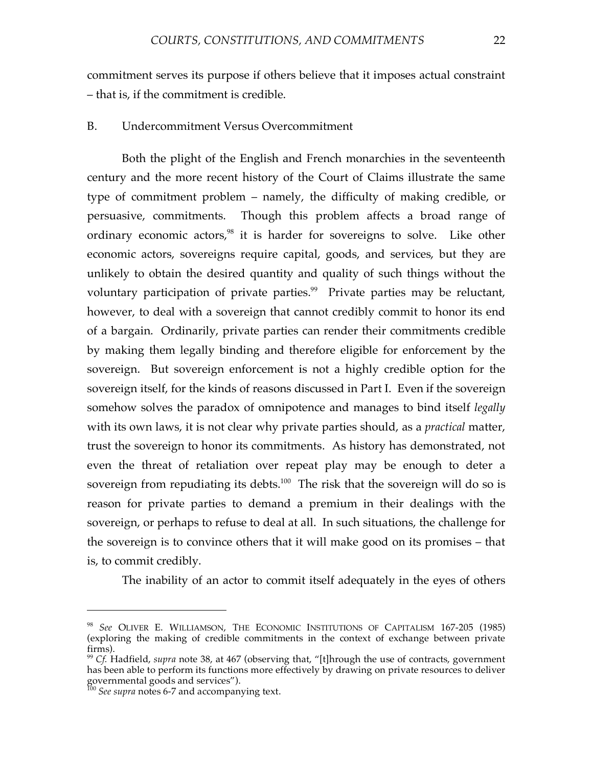commitment serves its purpose if others believe that it imposes actual constraint – that is, if the commitment is credible.

#### B. Undercommitment Versus Overcommitment

Both the plight of the English and French monarchies in the seventeenth century and the more recent history of the Court of Claims illustrate the same type of commitment problem – namely, the difficulty of making credible, or persuasive, commitments. Though this problem affects a broad range of ordinary economic actors,<sup>98</sup> it is harder for sovereigns to solve. Like other economic actors, sovereigns require capital, goods, and services, but they are unlikely to obtain the desired quantity and quality of such things without the voluntary participation of private parties. <sup>99</sup> Private parties may be reluctant, however, to deal with a sovereign that cannot credibly commit to honor its end of a bargain. Ordinarily, private parties can render their commitments credible by making them legally binding and therefore eligible for enforcement by the sovereign. But sovereign enforcement is not a highly credible option for the sovereign itself, for the kinds of reasons discussed in Part I. Even if the sovereign somehow solves the paradox of omnipotence and manages to bind itself *legally* with its own laws, it is not clear why private parties should, as a *practical* matter, trust the sovereign to honor its commitments. As history has demonstrated, not even the threat of retaliation over repeat play may be enough to deter a sovereign from repudiating its debts. $^{100}$  The risk that the sovereign will do so is reason for private parties to demand a premium in their dealings with the sovereign, or perhaps to refuse to deal at all. In such situations, the challenge for the sovereign is to convince others that it will make good on its promises – that is, to commit credibly.

The inability of an actor to commit itself adequately in the eyes of others

<sup>98</sup> *See* OLIVER E. WILLIAMSON, THE ECONOMIC INSTITUTIONS OF CAPITALISM 167-205 (1985) (exploring the making of credible commitments in the context of exchange between private firms).<br><sup>99</sup> *Cf.* Hadfield, *supra* note 38, at 467 (observing that, "[t]hrough the use of contracts, government

has been able to perform its functions more effectively by drawing on private resources to deliver governmental goods and services"). <sup>100</sup> *See supra* notes 6-7 and accompanying text.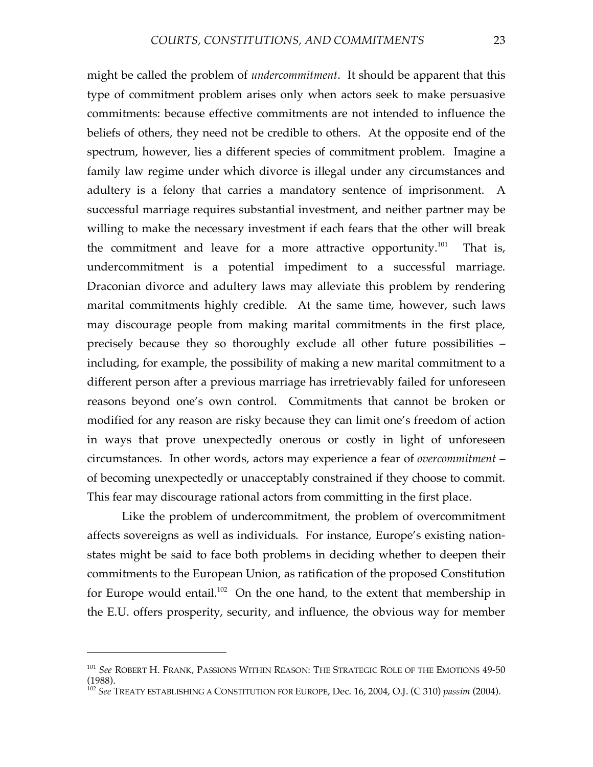might be called the problem of *undercommitment*. It should be apparent that this type of commitment problem arises only when actors seek to make persuasive commitments: because effective commitments are not intended to influence the beliefs of others, they need not be credible to others. At the opposite end of the spectrum, however, lies a different species of commitment problem. Imagine a family law regime under which divorce is illegal under any circumstances and adultery is a felony that carries a mandatory sentence of imprisonment. A successful marriage requires substantial investment, and neither partner may be willing to make the necessary investment if each fears that the other will break the commitment and leave for a more attractive opportunity.<sup>101</sup> That is, undercommitment is a potential impediment to a successful marriage. Draconian divorce and adultery laws may alleviate this problem by rendering marital commitments highly credible. At the same time, however, such laws may discourage people from making marital commitments in the first place, precisely because they so thoroughly exclude all other future possibilities – including, for example, the possibility of making a new marital commitment to a different person after a previous marriage has irretrievably failed for unforeseen reasons beyond one's own control. Commitments that cannot be broken or modified for any reason are risky because they can limit one's freedom of action in ways that prove unexpectedly onerous or costly in light of unforeseen circumstances. In other words, actors may experience a fear of *overcommitment* – of becoming unexpectedly or unacceptably constrained if they choose to commit. This fear may discourage rational actors from committing in the first place.

Like the problem of undercommitment, the problem of overcommitment affects sovereigns as well as individuals. For instance, Europe's existing nationstates might be said to face both problems in deciding whether to deepen their commitments to the European Union, as ratification of the proposed Constitution for Europe would entail.<sup>102</sup> On the one hand, to the extent that membership in the E.U. offers prosperity, security, and influence, the obvious way for member

<sup>101</sup> *See* ROBERT H. FRANK, PASSIONS WITHIN REASON: THE STRATEGIC ROLE OF THE EMOTIONS 49-50

<sup>&</sup>lt;sup>102</sup> See<sup>TREATY ESTABLISHING A CONSTITUTION FOR EUROPE, Dec. 16, 2004, O.J. (C 310) *passim* (2004).</sup>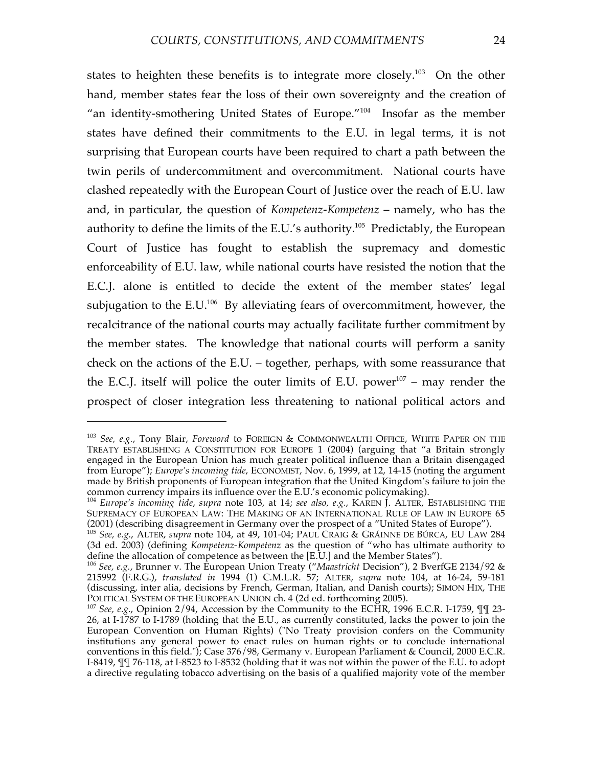states to heighten these benefits is to integrate more closely.<sup>103</sup> On the other hand, member states fear the loss of their own sovereignty and the creation of "an identity-smothering United States of Europe."<sup>104</sup> Insofar as the member states have defined their commitments to the E.U. in legal terms, it is not surprising that European courts have been required to chart a path between the twin perils of undercommitment and overcommitment. National courts have clashed repeatedly with the European Court of Justice over the reach of E.U. law and, in particular, the question of *Kompetenz-Kompetenz* – namely, who has the authority to define the limits of the E.U.'s authority. <sup>105</sup> Predictably, the European Court of Justice has fought to establish the supremacy and domestic enforceability of E.U. law, while national courts have resisted the notion that the E.C.J. alone is entitled to decide the extent of the member states' legal subjugation to the E.U. $^{106}$  By alleviating fears of overcommitment, however, the recalcitrance of the national courts may actually facilitate further commitment by the member states. The knowledge that national courts will perform a sanity check on the actions of the E.U. – together, perhaps, with some reassurance that the E.C.J. itself will police the outer limits of E.U. power $107 -$  may render the prospect of closer integration less threatening to national political actors and

<sup>103</sup> *See, e.g.*, Tony Blair, *Foreword* to FOREIGN & COMMONWEALTH OFFICE, WHITE PAPER ON THE TREATY ESTABLISHING A CONSTITUTION FOR EUROPE 1 (2004) (arguing that "a Britain strongly engaged in the European Union has much greater political influence than a Britain disengaged from Europe"); *Europe's incoming tide*, ECONOMIST, Nov. 6, 1999, at 12, 14-15 (noting the argument made by British proponents of European integration that the United Kingdom's failure to join the common currency impairs its influence over the E.U.'s economic policymaking).

<sup>&</sup>lt;sup>104</sup> Europe's incoming tide, supra note 103, at 14; see also, e.g., KAREN J. ALTER, ESTABLISHING THE SUPREMACY OF EUROPEAN LAW: THE MAKING OF AN INTERNATIONAL RULE OF LAW IN EUROPE 65

<sup>(2001)</sup> (describing disagreement in Germany over the prospect of <sup>a</sup> "United States of Europe"). <sup>105</sup> *See, e.g.*, ALTER, *supra* note 104, at 49, 101-04; PAUL CRAIG & GRÁINNE DE BÚRCA, EU LAW <sup>284</sup> (3d ed. 2003) (defining *Kompetenz-Kompetenz* as the question of "who has ultimate authority to

define the allocation of competence as between the [E.U.] and the Member States"). <sup>106</sup> *See, e.g.*, Brunner v. The European Union Treaty ("*Maastricht* Decision"), <sup>2</sup> BverfGE 2134/92 & 215992 (F.R.G.), *translated in* 1994 (1) C.M.L.R. 57; ALTER, *supra* note 104, at 16-24, 59-181 (discussing, inter alia, decisions by French, German, Italian, and Danish courts); SIMON HIX, THE

<sup>&</sup>lt;sup>107</sup> See, e.g., Opinion 2/94, Accession by the Community to the ECHR, 1996 E.C.R. I-1759,  $\P$  123-26, at I-1787 to I-1789 (holding that the E.U., as currently constituted, lacks the power to join the European Convention on Human Rights) ("No Treaty provision confers on the Community institutions any general power to enact rules on human rights or to conclude international conventions in this field."); Case 376/98, Germany v. European Parliament & Council, 2000 E.C.R. I-8419, ¶¶ 76-118, at I-8523 to I-8532 (holding that it was not within the power of the E.U. to adopt a directive regulating tobacco advertising on the basis of a qualified majority vote of the member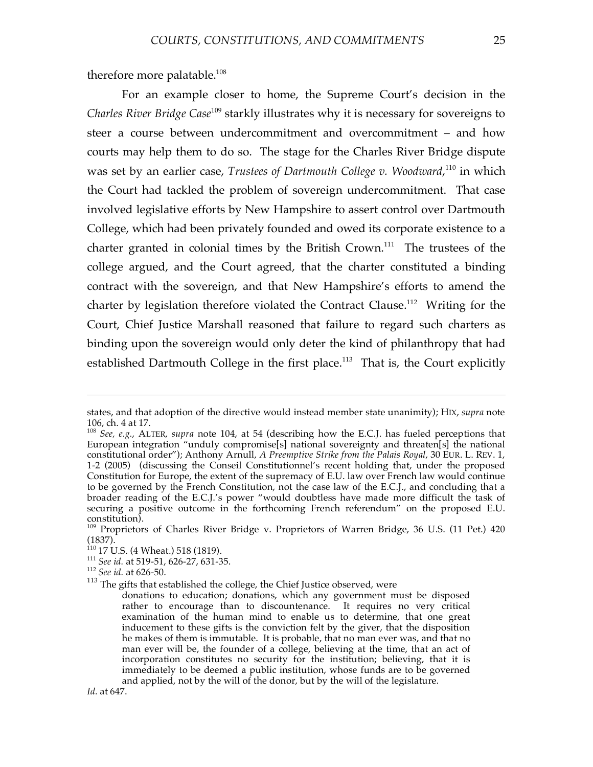therefore more palatable.<sup>108</sup>

For an example closer to home, the Supreme Court's decision in the *Charles River Bridge Case* <sup>109</sup> starkly illustrates why it is necessary for sovereigns to steer a course between undercommitment and overcommitment – and how courts may help them to do so. The stage for the Charles River Bridge dispute was set by an earlier case, *Trustees of Dartmouth College v. Woodward*, <sup>110</sup> in which the Court had tackled the problem of sovereign undercommitment. That case involved legislative efforts by New Hampshire to assert control over Dartmouth College, which had been privately founded and owed its corporate existence to a charter granted in colonial times by the British Crown.<sup>111</sup> The trustees of the college argued, and the Court agreed, that the charter constituted a binding contract with the sovereign, and that New Hampshire's efforts to amend the charter by legislation therefore violated the Contract Clause.<sup>112</sup> Writing for the Court, Chief Justice Marshall reasoned that failure to regard such charters as binding upon the sovereign would only deter the kind of philanthropy that had established Dartmouth College in the first place.<sup>113</sup> That is, the Court explicitly

states, and that adoption of the directive would instead member state unanimity); HIX, *supra* note

<sup>&</sup>lt;sup>108</sup> *See, e.g.*, ALTER, *supra* note 104, at 54 (describing how the E.C.J. has fueled perceptions that European integration "unduly compromise[s] national sovereignty and threaten[s] the national constitutional order"); Anthony Arnull, *A Preemptive Strike from the Palais Royal*, 30 EUR. L. REV. 1, 1-2 (2005) (discussing the Conseil Constitutionnel's recent holding that, under the proposed Constitution for Europe, the extent of the supremacy of E.U. law over French law would continue to be governed by the French Constitution, not the case law of the E.C.J., and concluding that a broader reading of the E.C.J.'s power "would doubtless have made more difficult the task of securing a positive outcome in the forthcoming French referendum" on the proposed E.U.

constitution).<br><sup>109</sup> Proprietors of Charles River Bridge v. Proprietors of Warren Bridge, 36 U.S. (11 Pet.) 420<br>(1837).<br><sup>110</sup> 17 U.S. (4 Wheat.) 518 (1819).

<sup>&</sup>lt;sup>111</sup> See *id.* at 519-51, 626-27, 631-35.<br><sup>112</sup> *See id.* at 626-50. <sup>113</sup> The gifts that established the college, the Chief Justice observed, were

donations to education; donations, which any government must be disposed rather to encourage than to discountenance. It requires no very critical examination of the human mind to enable us to determine, that one great inducement to these gifts is the conviction felt by the giver, that the disposition he makes of them is immutable. It is probable, that no man ever was, and that no man ever will be, the founder of a college, believing at the time, that an act of incorporation constitutes no security for the institution; believing, that it is immediately to be deemed a public institution, whose funds are to be governed and applied, not by the will of the donor, but by the will of the legislature.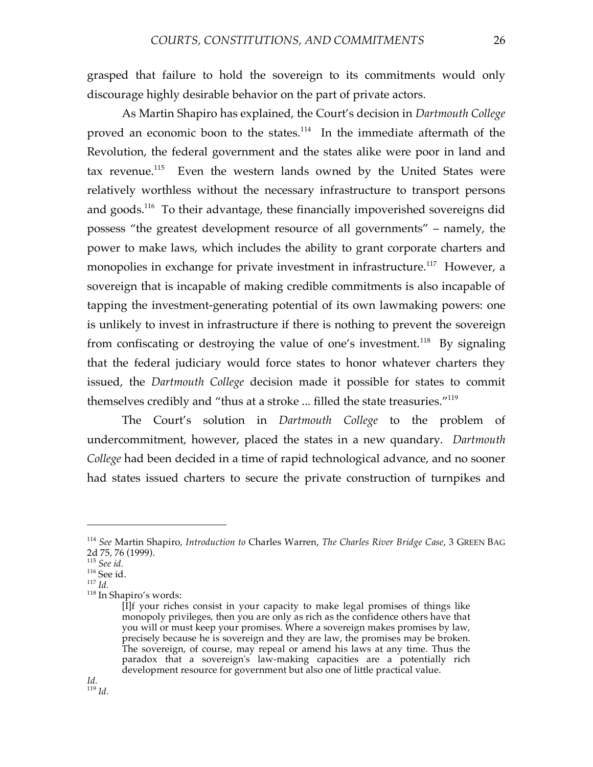grasped that failure to hold the sovereign to its commitments would only discourage highly desirable behavior on the part of private actors.

As Martin Shapiro has explained, the Court's decision in *Dartmouth College* proved an economic boon to the states.<sup>114</sup> In the immediate aftermath of the Revolution, the federal government and the states alike were poor in land and tax revenue.<sup>115</sup> Even the western lands owned by the United States were relatively worthless without the necessary infrastructure to transport persons and goods.<sup>116</sup> To their advantage, these financially impoverished sovereigns did possess "the greatest development resource of all governments" – namely, the power to make laws, which includes the ability to grant corporate charters and monopolies in exchange for private investment in infrastructure.<sup>117</sup> However, a sovereign that is incapable of making credible commitments is also incapable of tapping the investment-generating potential of its own lawmaking powers: one is unlikely to invest in infrastructure if there is nothing to prevent the sovereign from confiscating or destroying the value of one's investment.<sup>118</sup> By signaling that the federal judiciary would force states to honor whatever charters they issued, the *Dartmouth College* decision made it possible for states to commit themselves credibly and "thus at a stroke ... filled the state treasuries."119

The Court's solution in *Dartmouth College* to the problem of undercommitment, however, placed the states in a new quandary. *Dartmouth College* had been decided in a time of rapid technological advance, and no sooner had states issued charters to secure the private construction of turnpikes and

<sup>114</sup> *See* Martin Shapiro, *Introduction to* Charles Warren, *The Charles River Bridge Case*, 3 GREEN BAG

<sup>&</sup>lt;sup>115</sup> *See id.* 116 See id. 117 *Id.* 118 In Shapiro's words:

<sup>[</sup>I]f your riches consist in your capacity to make legal promises of things like monopoly privileges, then you are only as rich as the confidence others have that you will or must keep your promises. Where a sovereign makes promises by law, precisely because he is sovereign and they are law, the promises may be broken. The sovereign, of course, may repeal or amend his laws at any time. Thus the paradox that a sovereign's law-making capacities are a potentially rich development resource for government but also one of little practical value.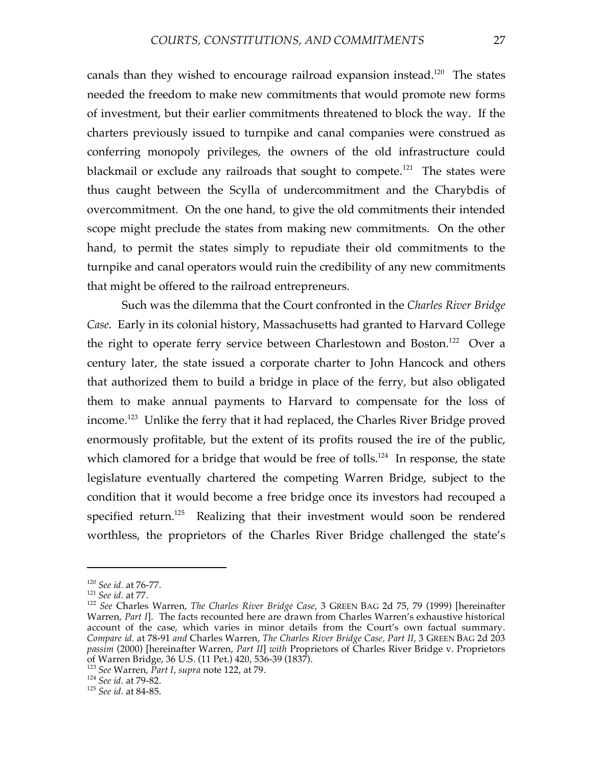canals than they wished to encourage railroad expansion instead.<sup>120</sup> The states needed the freedom to make new commitments that would promote new forms of investment, but their earlier commitments threatened to block the way. If the charters previously issued to turnpike and canal companies were construed as conferring monopoly privileges, the owners of the old infrastructure could blackmail or exclude any railroads that sought to compete.<sup>121</sup> The states were thus caught between the Scylla of undercommitment and the Charybdis of overcommitment. On the one hand, to give the old commitments their intended scope might preclude the states from making new commitments. On the other hand, to permit the states simply to repudiate their old commitments to the turnpike and canal operators would ruin the credibility of any new commitments that might be offered to the railroad entrepreneurs.

Such was the dilemma that the Court confronted in the *Charles River Bridge Case*. Early in its colonial history, Massachusetts had granted to Harvard College the right to operate ferry service between Charlestown and Boston.<sup>122</sup> Over a century later, the state issued a corporate charter to John Hancock and others that authorized them to build a bridge in place of the ferry, but also obligated them to make annual payments to Harvard to compensate for the loss of income. <sup>123</sup> Unlike the ferry that it had replaced, the Charles River Bridge proved enormously profitable, but the extent of its profits roused the ire of the public, which clamored for a bridge that would be free of tolls.<sup>124</sup> In response, the state legislature eventually chartered the competing Warren Bridge, subject to the condition that it would become a free bridge once its investors had recouped a specified return. <sup>125</sup> Realizing that their investment would soon be rendered worthless, the proprietors of the Charles River Bridge challenged the state's

<sup>120</sup> *See id.* at 76-77. <sup>121</sup> *See id.* at 77. <sup>122</sup> *See* Charles Warren, *The Charles River Bridge Case*, <sup>3</sup> GREEN BAG 2d 75, <sup>79</sup> (1999) [hereinafter Warren, *Part I*]. The facts recounted here are drawn from Charles Warren's exhaustive historical account of the case, which varies in minor details from the Court's own factual summary. *Compare id.* at 78-91 *and* Charles Warren, *The Charles River Bridge Case, Part II*, 3 GREEN BAG 2d 203 *passim* (2000) [hereinafter Warren, *Part II*] *with* Proprietors of Charles River Bridge v. Proprietors

<sup>&</sup>lt;sup>123</sup> See Warren, *Part I, supra* note 122, at 79.<br><sup>124</sup> *See id.* at 79-82. <sup>125</sup> *See id.* at 84-85.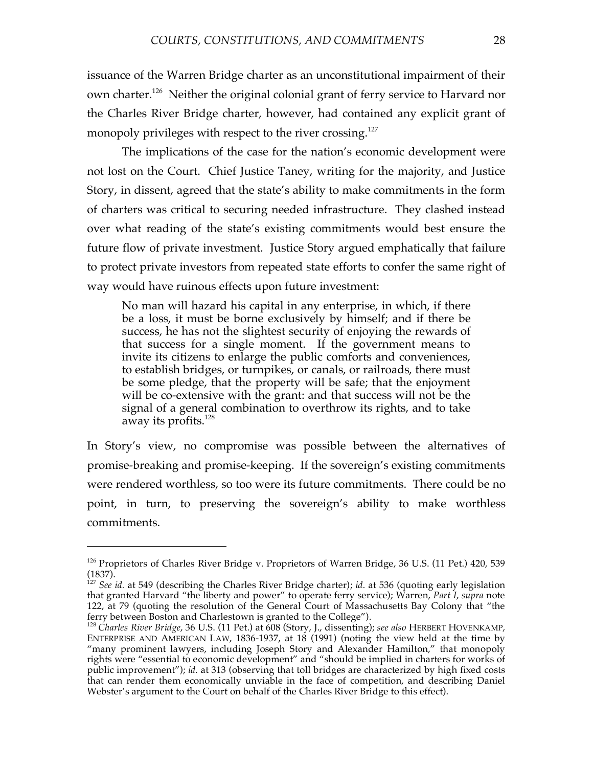issuance of the Warren Bridge charter as an unconstitutional impairment of their own charter.<sup>126</sup> Neither the original colonial grant of ferry service to Harvard nor the Charles River Bridge charter, however, had contained any explicit grant of monopoly privileges with respect to the river crossing. 127

The implications of the case for the nation's economic development were not lost on the Court. Chief Justice Taney, writing for the majority, and Justice Story, in dissent, agreed that the state's ability to make commitments in the form of charters was critical to securing needed infrastructure. They clashed instead over what reading of the state's existing commitments would best ensure the future flow of private investment. Justice Story argued emphatically that failure to protect private investors from repeated state efforts to confer the same right of way would have ruinous effects upon future investment:

No man will hazard his capital in any enterprise, in which, if there be a loss, it must be borne exclusively by himself; and if there be success, he has not the slightest security of enjoying the rewards of that success for a single moment. If the government means to invite its citizens to enlarge the public comforts and conveniences, to establish bridges, or turnpikes, or canals, or railroads, there must be some pledge, that the property will be safe; that the enjoyment will be co-extensive with the grant: and that success will not be the signal of a general combination to overthrow its rights, and to take away its profits.<sup>128</sup>

In Story's view, no compromise was possible between the alternatives of promise-breaking and promise-keeping. If the sovereign's existing commitments were rendered worthless, so too were its future commitments. There could be no point, in turn, to preserving the sovereign's ability to make worthless commitments.

<sup>&</sup>lt;sup>126</sup> Proprietors of Charles River Bridge v. Proprietors of Warren Bridge, 36 U.S. (11 Pet.) 420, 539 (1837).

<sup>&</sup>lt;sup>127</sup> *See id.* at 549 (describing the Charles River Bridge charter); *id.* at 536 (quoting early legislation that granted Harvard "the liberty and power" to operate ferry service); Warren, *Part I*, *supra* note 122, at 79 (quoting the resolution of the General Court of Massachusetts Bay Colony that "the ferry between Boston and Charlestown is granted to the College").

<sup>&</sup>lt;sup>128</sup> Charles River Bridge, 36 U.S. (11 Pet.) at 608 (Story, J., dissenting); *see also* HERBERT HOVENKAMP, ENTERPRISE AND AMERICAN LAW, 1836-1937, at 18 (1991) (noting the view held at the time by "many prominent lawyers, including Joseph Story and Alexander Hamilton," that monopoly rights were "essential to economic development" and "should be implied in charters for works of public improvement"); *id.* at 313 (observing that toll bridges are characterized by high fixed costs that can render them economically unviable in the face of competition, and describing Daniel Webster's argument to the Court on behalf of the Charles River Bridge to this effect).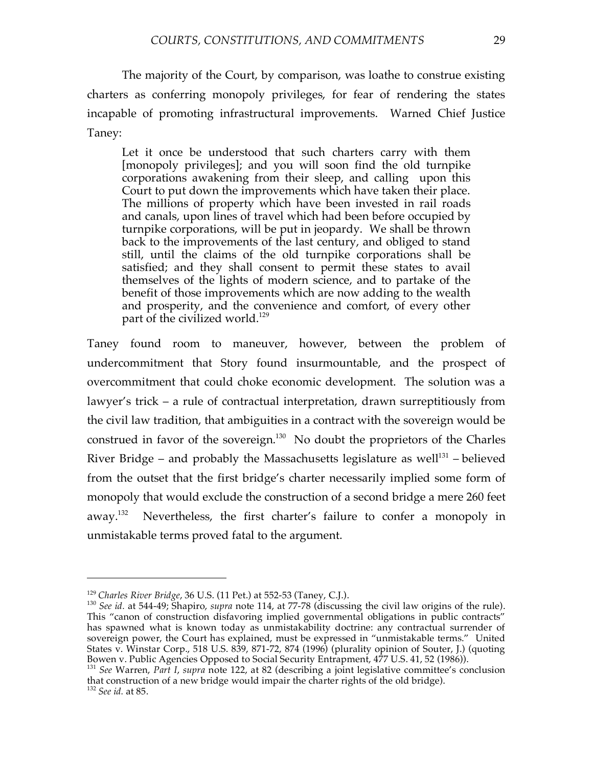The majority of the Court, by comparison, was loathe to construe existing charters as conferring monopoly privileges, for fear of rendering the states incapable of promoting infrastructural improvements. Warned Chief Justice Taney:

Let it once be understood that such charters carry with them [monopoly privileges]; and you will soon find the old turnpike corporations awakening from their sleep, and calling upon this Court to put down the improvements which have taken their place. The millions of property which have been invested in rail roads and canals, upon lines of travel which had been before occupied by turnpike corporations, will be put in jeopardy. We shall be thrown back to the improvements of the last century, and obliged to stand still, until the claims of the old turnpike corporations shall be satisfied; and they shall consent to permit these states to avail themselves of the lights of modern science, and to partake of the benefit of those improvements which are now adding to the wealth and prosperity, and the convenience and comfort, of every other part of the civilized world.<sup>129</sup>

Taney found room to maneuver, however, between the problem of undercommitment that Story found insurmountable, and the prospect of overcommitment that could choke economic development. The solution was a lawyer's trick – a rule of contractual interpretation, drawn surreptitiously from the civil law tradition, that ambiguities in a contract with the sovereign would be construed in favor of the sovereign.<sup>130</sup> No doubt the proprietors of the Charles River Bridge – and probably the Massachusetts legislature as well<sup>131</sup> – believed from the outset that the first bridge's charter necessarily implied some form of monopoly that would exclude the construction of a second bridge a mere 260 feet away.<sup>132</sup> Nevertheless, the first charter's failure to confer a monopoly in unmistakable terms proved fatal to the argument.

<sup>129</sup> *Charles River Bridge*, <sup>36</sup> U.S. (11 Pet.) at 552-53 (Taney, C.J.). <sup>130</sup> *See id.* at 544-49; Shapiro, *supra* note 114, at 77-78 (discussing the civil law origins of the rule). This "canon of construction disfavoring implied governmental obligations in public contracts" has spawned what is known today as unmistakability doctrine: any contractual surrender of sovereign power, the Court has explained, must be expressed in "unmistakable terms." United States v. Winstar Corp., 518 U.S. 839, 871-72, 874 (1996) (plurality opinion of Souter, J.) (quoting Bowen v. Public Agencies Opposed to Social Security Entrapment, 477 U.S. 41, 52 (1986)).

Bowen v. Public Agencies Opposed to Social Security Entrappendix 131 *See* Warren, *Part I*, *supra* note 122, at 82 (describing a joint legislative committee's conclusion that construction of <sup>a</sup> new bridge would impair the charter rights of the old bridge). <sup>132</sup> *See id.* at 85.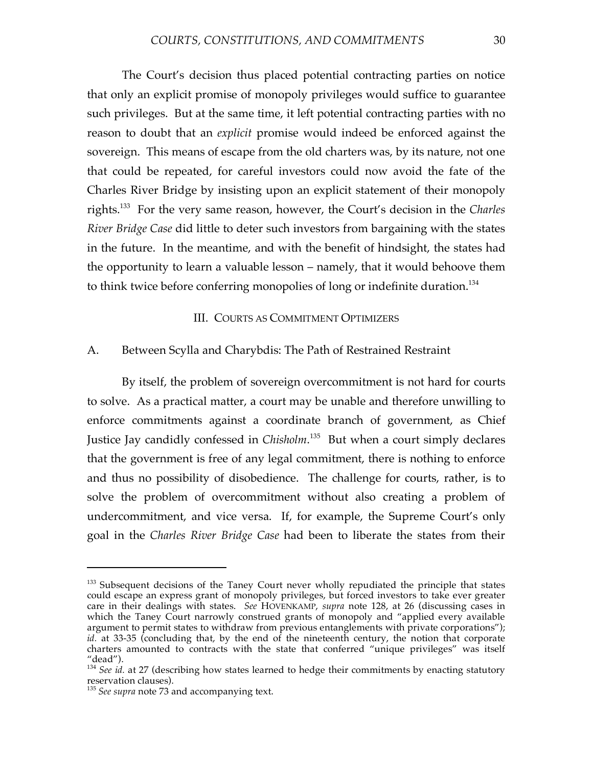The Court's decision thus placed potential contracting parties on notice that only an explicit promise of monopoly privileges would suffice to guarantee such privileges. But at the same time, it left potential contracting parties with no reason to doubt that an *explicit* promise would indeed be enforced against the sovereign. This means of escape from the old charters was, by its nature, not one that could be repeated, for careful investors could now avoid the fate of the Charles River Bridge by insisting upon an explicit statement of their monopoly rights. <sup>133</sup> For the very same reason, however, the Court's decision in the *Charles River Bridge Case* did little to deter such investors from bargaining with the states in the future. In the meantime, and with the benefit of hindsight, the states had the opportunity to learn a valuable lesson – namely, that it would behoove them to think twice before conferring monopolies of long or indefinite duration.<sup>134</sup>

#### III. COURTS AS COMMITMENT OPTIMIZERS

#### A. Between Scylla and Charybdis: The Path of Restrained Restraint

By itself, the problem of sovereign overcommitment is not hard for courts to solve. As a practical matter, a court may be unable and therefore unwilling to enforce commitments against a coordinate branch of government, as Chief Justice Jay candidly confessed in *Chisholm*. <sup>135</sup> But when a court simply declares that the government is free of any legal commitment, there is nothing to enforce and thus no possibility of disobedience. The challenge for courts, rather, is to solve the problem of overcommitment without also creating a problem of undercommitment, and vice versa. If, for example, the Supreme Court's only goal in the *Charles River Bridge Case* had been to liberate the states from their

<sup>&</sup>lt;sup>133</sup> Subsequent decisions of the Taney Court never wholly repudiated the principle that states could escape an express grant of monopoly privileges, but forced investors to take ever greater care in their dealings with states. *See* HOVENKAMP, *supra* note 128, at 26 (discussing cases in which the Taney Court narrowly construed grants of monopoly and "applied every available argument to permit states to withdraw from previous entanglements with private corporations"); *id.* at 33-35 (concluding that, by the end of the nineteenth century, the notion that corporate charters amounted to contracts with the state that conferred "unique privileges" was itself "dead").

<sup>&</sup>lt;sup>134</sup> *See id.* at 27 (describing how states learned to hedge their commitments by enacting statutory reservation clauses).

<sup>&</sup>lt;sup>135</sup> See *supra* note 73 and accompanying text.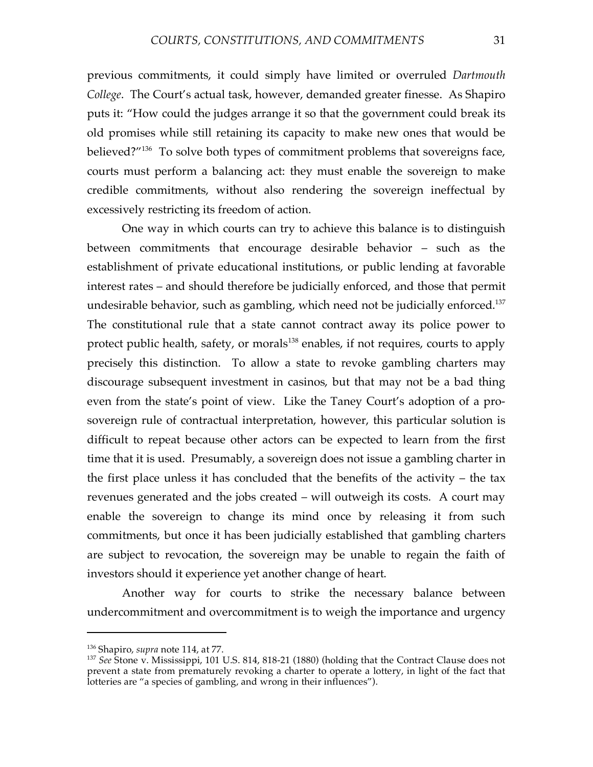previous commitments, it could simply have limited or overruled *Dartmouth College*. The Court's actual task, however, demanded greater finesse. As Shapiro puts it: "How could the judges arrange it so that the government could break its old promises while still retaining its capacity to make new ones that would be believed?"<sup>136</sup> To solve both types of commitment problems that sovereigns face, courts must perform a balancing act: they must enable the sovereign to make credible commitments, without also rendering the sovereign ineffectual by excessively restricting its freedom of action.

One way in which courts can try to achieve this balance is to distinguish between commitments that encourage desirable behavior – such as the establishment of private educational institutions, or public lending at favorable interest rates – and should therefore be judicially enforced, and those that permit undesirable behavior, such as gambling, which need not be judicially enforced. 137 The constitutional rule that a state cannot contract away its police power to protect public health, safety, or morals<sup>138</sup> enables, if not requires, courts to apply precisely this distinction. To allow a state to revoke gambling charters may discourage subsequent investment in casinos, but that may not be a bad thing even from the state's point of view. Like the Taney Court's adoption of a prosovereign rule of contractual interpretation, however, this particular solution is difficult to repeat because other actors can be expected to learn from the first time that it is used. Presumably, a sovereign does not issue a gambling charter in the first place unless it has concluded that the benefits of the activity – the tax revenues generated and the jobs created – will outweigh its costs. A court may enable the sovereign to change its mind once by releasing it from such commitments, but once it has been judicially established that gambling charters are subject to revocation, the sovereign may be unable to regain the faith of investors should it experience yet another change of heart.

Another way for courts to strike the necessary balance between undercommitment and overcommitment is to weigh the importance and urgency

<sup>&</sup>lt;sup>136</sup> Shapiro, *supra* note 114, at 77.<br><sup>137</sup> *See* Stone v. Mississippi, 101 U.S. 814, 818-21 (1880) (holding that the Contract Clause does not prevent a state from prematurely revoking a charter to operate a lottery, in light of the fact that lotteries are "a species of gambling, and wrong in their influences").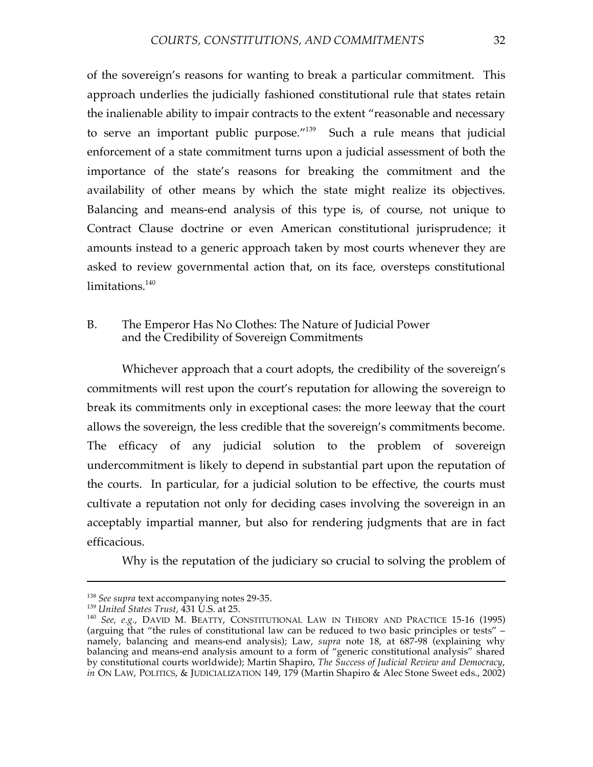of the sovereign's reasons for wanting to break a particular commitment. This approach underlies the judicially fashioned constitutional rule that states retain the inalienable ability to impair contracts to the extent "reasonable and necessary to serve an important public purpose."<sup>139</sup> Such a rule means that judicial enforcement of a state commitment turns upon a judicial assessment of both the importance of the state's reasons for breaking the commitment and the availability of other means by which the state might realize its objectives. Balancing and means-end analysis of this type is, of course, not unique to Contract Clause doctrine or even American constitutional jurisprudence; it amounts instead to a generic approach taken by most courts whenever they are asked to review governmental action that, on its face, oversteps constitutional limitations. 140

## B. The Emperor Has No Clothes: The Nature of Judicial Power and the Credibility of Sovereign Commitments

Whichever approach that a court adopts, the credibility of the sovereign's commitments will rest upon the court's reputation for allowing the sovereign to break its commitments only in exceptional cases: the more leeway that the court allows the sovereign, the less credible that the sovereign's commitments become. The efficacy of any judicial solution to the problem of sovereign undercommitment is likely to depend in substantial part upon the reputation of the courts. In particular, for a judicial solution to be effective, the courts must cultivate a reputation not only for deciding cases involving the sovereign in an acceptably impartial manner, but also for rendering judgments that are in fact efficacious.

Why is the reputation of the judiciary so crucial to solving the problem of

<sup>&</sup>lt;sup>138</sup> *See supra* text accompanying notes 29-35.<br><sup>139</sup> *United States Trust*, 431 U.S. at 25. 140 *See, e.g.*, DAVID M. BEATTY, CONSTITUTIONAL LAW IN THEORY AND PRACTICE 15-16 (1995) (arguing that "the rules of constitutional law can be reduced to two basic principles or tests" – namely, balancing and means-end analysis); Law, *supra* note 18, at 687-98 (explaining why balancing and means-end analysis amount to a form of "generic constitutional analysis" shared by constitutional courts worldwide); Martin Shapiro, *The Success of Judicial Review and Democracy*, *in* ON LAW, POLITICS, & JUDICIALIZATION 149, 179 (Martin Shapiro & Alec Stone Sweet eds., 2002)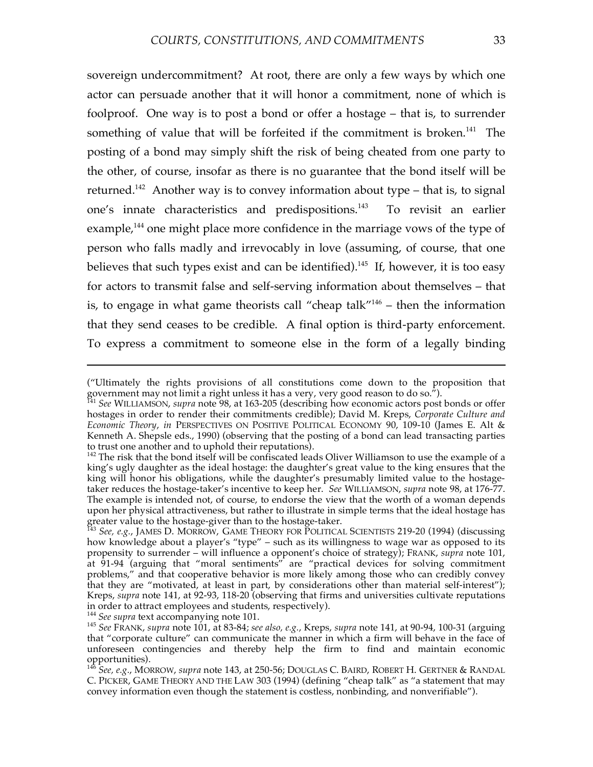sovereign undercommitment? At root, there are only a few ways by which one actor can persuade another that it will honor a commitment, none of which is foolproof. One way is to post a bond or offer a hostage – that is, to surrender something of value that will be forfeited if the commitment is broken.<sup>141</sup> The posting of a bond may simply shift the risk of being cheated from one party to the other, of course, insofar as there is no guarantee that the bond itself will be returned.<sup>142</sup> Another way is to convey information about type – that is, to signal one's innate characteristics and predispositions. To revisit an earlier example,<sup>144</sup> one might place more confidence in the marriage vows of the type of person who falls madly and irrevocably in love (assuming, of course, that one believes that such types exist and can be identified).<sup>145</sup> If, however, it is too easy for actors to transmit false and self-serving information about themselves – that is, to engage in what game theorists call "cheap talk"146 – then the information that they send ceases to be credible. A final option is third-party enforcement. To express a commitment to someone else in the form of a legally binding

<sup>(&</sup>quot;Ultimately the rights provisions of all constitutions come down to the proposition that government may not limit a right unless it has a very, very good reason to do so.").<br><sup>141</sup> *See* WILLIAMSON, *supra* note 98, at 163-205 (describing how economic actors post bonds or offer

hostages in order to render their commitments credible); David M. Kreps, *Corporate Culture and Economic Theory*, *in* PERSPECTIVES ON POSITIVE POLITICAL ECONOMY 90, 109-10 (James E. Alt & Kenneth A. Shepsle eds., 1990) (observing that the posting of a bond can lead transacting parties to trust one another and to uphold their reputations).<br><sup>142</sup> The risk that the bond itself will be confiscated leads Oliver Williamson to use the example of a

king's ugly daughter as the ideal hostage: the daughter's great value to the king ensures that the king will honor his obligations, while the daughter's presumably limited value to the hostagetaker reduces the hostage-taker's incentive to keep her. *See* WILLIAMSON, *supra* note 98, at 176-77. The example is intended not, of course, to endorse the view that the worth of a woman depends upon her physical attractiveness, but rather to illustrate in simple terms that the ideal hostage has

greater value to the hostage-giver than to the hostage-taker.<br><sup>143</sup> *See, e.g.,* JAMES D. MORROW, GAME THEORY FOR POLITICAL SCIENTISTS 219-20 (1994) (discussing how knowledge about a player's "type" – such as its willingness to wage war as opposed to its propensity to surrender – will influence a opponent's choice of strategy); FRANK, *supra* note 101, at 91-94 (arguing that "moral sentiments" are "practical devices for solving commitment problems," and that cooperative behavior is more likely among those who can credibly convey that they are "motivated, at least in part, by considerations other than material self-interest"); Kreps, *supra* note 141, at 92-93, 118-20 (observing that firms and universities cultivate reputations in order to attract employees and students, respectively).<br><sup>144</sup> See supra text accompanying note 101.<br><sup>145</sup> See FRANK, supra note 101, at 83-84; see also, e.g., Kreps, supra note 141, at 90-94, 100-31 (arguing

that "corporate culture" can communicate the manner in which a firm will behave in the face of unforeseen contingencies and thereby help the firm to find and maintain economic opportunities). <sup>146</sup> *See, e.g.*, MORROW, *supra* note 143, at 250-56; DOUGLAS C. BAIRD, ROBERT H. GERTNER & RANDAL

C. PICKER, GAME THEORY AND THE LAW 303 (1994) (defining "cheap talk" as "a statement that may convey information even though the statement is costless, nonbinding, and nonverifiable").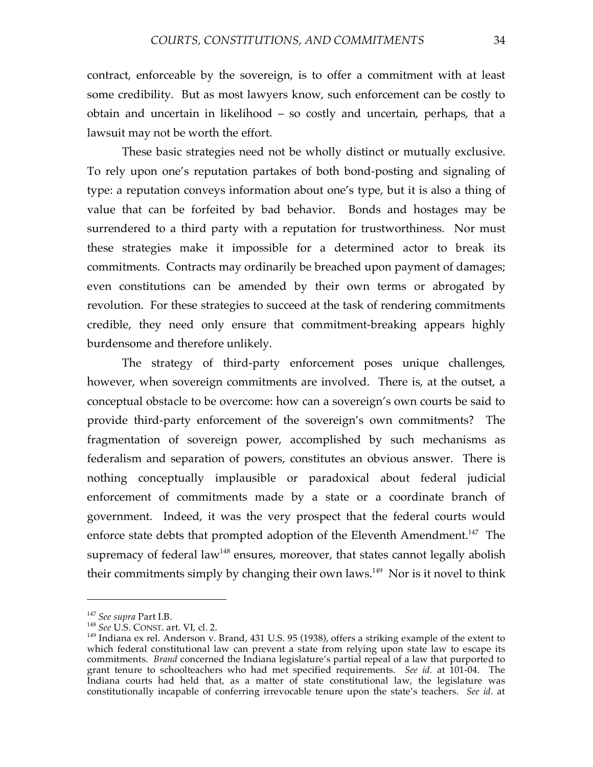contract, enforceable by the sovereign, is to offer a commitment with at least some credibility. But as most lawyers know, such enforcement can be costly to obtain and uncertain in likelihood – so costly and uncertain, perhaps, that a lawsuit may not be worth the effort.

These basic strategies need not be wholly distinct or mutually exclusive. To rely upon one's reputation partakes of both bond-posting and signaling of type: a reputation conveys information about one's type, but it is also a thing of value that can be forfeited by bad behavior. Bonds and hostages may be surrendered to a third party with a reputation for trustworthiness. Nor must these strategies make it impossible for a determined actor to break its commitments. Contracts may ordinarily be breached upon payment of damages; even constitutions can be amended by their own terms or abrogated by revolution. For these strategies to succeed at the task of rendering commitments credible, they need only ensure that commitment-breaking appears highly burdensome and therefore unlikely.

The strategy of third-party enforcement poses unique challenges, however, when sovereign commitments are involved. There is, at the outset, a conceptual obstacle to be overcome: how can a sovereign's own courts be said to provide third-party enforcement of the sovereign's own commitments? The fragmentation of sovereign power, accomplished by such mechanisms as federalism and separation of powers, constitutes an obvious answer. There is nothing conceptually implausible or paradoxical about federal judicial enforcement of commitments made by a state or a coordinate branch of government. Indeed, it was the very prospect that the federal courts would enforce state debts that prompted adoption of the Eleventh Amendment.<sup>147</sup> The supremacy of federal law<sup>148</sup> ensures, moreover, that states cannot legally abolish their commitments simply by changing their own laws.<sup>149</sup> Nor is it novel to think

<sup>&</sup>lt;sup>147</sup> *See supra* Part I.B.<br><sup>148</sup> *See* U.S. CONST. art. VI, cl. 2.<br><sup>149</sup> Indiana ex rel. Anderson v. Brand, 431 U.S. 95 (1938), offers a striking example of the extent to which federal constitutional law can prevent a state from relying upon state law to escape its commitments. *Brand* concerned the Indiana legislature's partial repeal of a law that purported to grant tenure to schoolteachers who had met specified requirements. *See id.* at 101-04. The Indiana courts had held that, as a matter of state constitutional law, the legislature was constitutionally incapable of conferring irrevocable tenure upon the state's teachers. *See id.* at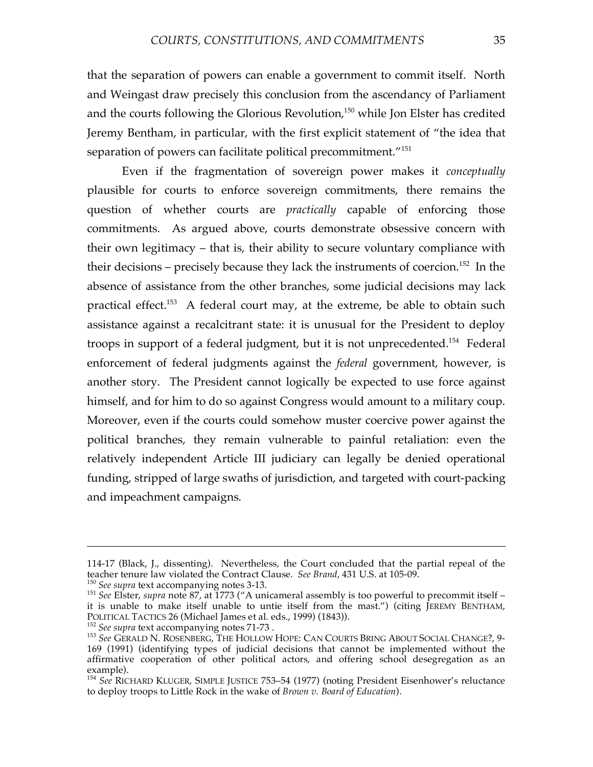that the separation of powers can enable a government to commit itself. North and Weingast draw precisely this conclusion from the ascendancy of Parliament and the courts following the Glorious Revolution, <sup>150</sup> while Jon Elster has credited Jeremy Bentham, in particular, with the first explicit statement of "the idea that separation of powers can facilitate political precommitment."<sup>151</sup>

Even if the fragmentation of sovereign power makes it *conceptually* plausible for courts to enforce sovereign commitments, there remains the question of whether courts are *practically* capable of enforcing those commitments. As argued above, courts demonstrate obsessive concern with their own legitimacy – that is, their ability to secure voluntary compliance with their decisions – precisely because they lack the instruments of coercion.<sup>152</sup> In the absence of assistance from the other branches, some judicial decisions may lack practical effect.<sup>153</sup> A federal court may, at the extreme, be able to obtain such assistance against a recalcitrant state: it is unusual for the President to deploy troops in support of a federal judgment, but it is not unprecedented.<sup>154</sup> Federal enforcement of federal judgments against the *federal* government, however, is another story. The President cannot logically be expected to use force against himself, and for him to do so against Congress would amount to a military coup. Moreover, even if the courts could somehow muster coercive power against the political branches, they remain vulnerable to painful retaliation: even the relatively independent Article III judiciary can legally be denied operational funding, stripped of large swaths of jurisdiction, and targeted with court-packing and impeachment campaigns.

<sup>114-17 (</sup>Black, J., dissenting). Nevertheless, the Court concluded that the partial repeal of the teacher tenure law violated the Contract Clause. See Brand, 431 U.S. at 105-09.

<sup>&</sup>lt;sup>150</sup> See supra text accompanying notes 3-13.<br><sup>151</sup> See Elster, *supra* note 87, at 1773 ("A unicameral assembly is too powerful to precommit itself – it is unable to make itself unable to untie itself from the mast.") (citing JEREMY BENTHAM, POLITICAL TACTICS 26 (Michael James et al. eds., 1999) (1843)).

<sup>&</sup>lt;sup>152</sup> See supra text accompanying notes 71-73 .<br><sup>153</sup> See GERALD N. ROSENBERG, THE HOLLOW HOPE: CAN COURTS BRING ABOUT SOCIAL CHANGE?, 9-169 (1991) (identifying types of judicial decisions that cannot be implemented without the affirmative cooperation of other political actors, and offering school desegregation as an example). <sup>154</sup> *See* RICHARD KLUGER, SIMPLE JUSTICE 753–54 (1977) (noting President Eisenhower's reluctance

to deploy troops to Little Rock in the wake of *Brown v. Board of Education*).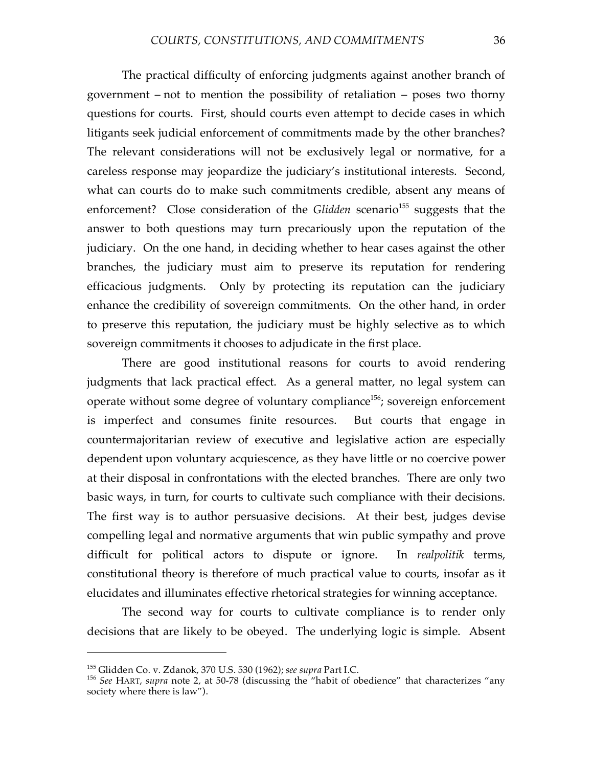The practical difficulty of enforcing judgments against another branch of government – not to mention the possibility of retaliation – poses two thorny questions for courts. First, should courts even attempt to decide cases in which litigants seek judicial enforcement of commitments made by the other branches? The relevant considerations will not be exclusively legal or normative, for a careless response may jeopardize the judiciary's institutional interests. Second, what can courts do to make such commitments credible, absent any means of enforcement? Close consideration of the *Glidden* scenario<sup>155</sup> suggests that the answer to both questions may turn precariously upon the reputation of the judiciary. On the one hand, in deciding whether to hear cases against the other branches, the judiciary must aim to preserve its reputation for rendering efficacious judgments. Only by protecting its reputation can the judiciary enhance the credibility of sovereign commitments. On the other hand, in order to preserve this reputation, the judiciary must be highly selective as to which sovereign commitments it chooses to adjudicate in the first place.

There are good institutional reasons for courts to avoid rendering judgments that lack practical effect. As a general matter, no legal system can operate without some degree of voluntary compliance<sup>156</sup>; sovereign enforcement is imperfect and consumes finite resources. But courts that engage in countermajoritarian review of executive and legislative action are especially dependent upon voluntary acquiescence, as they have little or no coercive power at their disposal in confrontations with the elected branches. There are only two basic ways, in turn, for courts to cultivate such compliance with their decisions. The first way is to author persuasive decisions. At their best, judges devise compelling legal and normative arguments that win public sympathy and prove difficult for political actors to dispute or ignore. In *realpolitik* terms, constitutional theory is therefore of much practical value to courts, insofar as it elucidates and illuminates effective rhetorical strategies for winning acceptance.

The second way for courts to cultivate compliance is to render only decisions that are likely to be obeyed. The underlying logic is simple. Absent

<sup>155</sup> Glidden Co. v. Zdanok, <sup>370</sup> U.S. <sup>530</sup> (1962); *see supra* Part I.C. <sup>156</sup> *See* HART, *supra* note 2, at 50-78 (discussing the "habit of obedience" that characterizes "any society where there is law").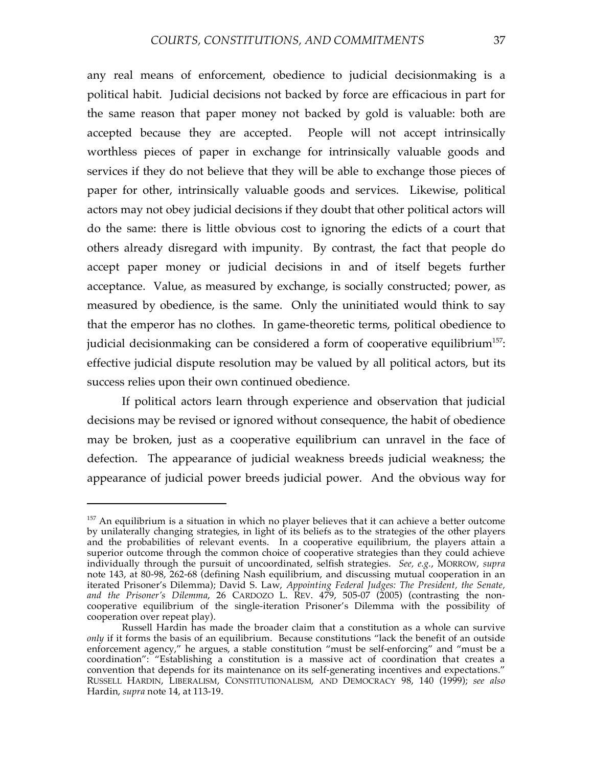any real means of enforcement, obedience to judicial decisionmaking is a political habit. Judicial decisions not backed by force are efficacious in part for the same reason that paper money not backed by gold is valuable: both are accepted because they are accepted. People will not accept intrinsically worthless pieces of paper in exchange for intrinsically valuable goods and services if they do not believe that they will be able to exchange those pieces of paper for other, intrinsically valuable goods and services. Likewise, political actors may not obey judicial decisions if they doubt that other political actors will do the same: there is little obvious cost to ignoring the edicts of a court that others already disregard with impunity. By contrast, the fact that people do accept paper money or judicial decisions in and of itself begets further acceptance. Value, as measured by exchange, is socially constructed; power, as measured by obedience, is the same. Only the uninitiated would think to say that the emperor has no clothes. In game-theoretic terms, political obedience to judicial decisionmaking can be considered a form of cooperative equilibrium $^{157}$ : effective judicial dispute resolution may be valued by all political actors, but its success relies upon their own continued obedience.

If political actors learn through experience and observation that judicial decisions may be revised or ignored without consequence, the habit of obedience may be broken, just as a cooperative equilibrium can unravel in the face of defection. The appearance of judicial weakness breeds judicial weakness; the appearance of judicial power breeds judicial power. And the obvious way for

 $157$  An equilibrium is a situation in which no player believes that it can achieve a better outcome by unilaterally changing strategies, in light of its beliefs as to the strategies of the other players and the probabilities of relevant events. In a cooperative equilibrium, the players attain a superior outcome through the common choice of cooperative strategies than they could achieve individually through the pursuit of uncoordinated, selfish strategies. *See, e.g.*, MORROW, *supra* note 143, at 80-98, 262-68 (defining Nash equilibrium, and discussing mutual cooperation in an iterated Prisoner's Dilemma); David S. Law, *Appointing Federal Judges: The President, the Senate, and the Prisoner's Dilemma*, 26 CARDOZO L. REV. 479, 505-07 (2005) (contrasting the noncooperative equilibrium of the single-iteration Prisoner's Dilemma with the possibility of cooperation over repeat play).

Russell Hardin has made the broader claim that a constitution as a whole can survive *only* if it forms the basis of an equilibrium. Because constitutions "lack the benefit of an outside enforcement agency," he argues, a stable constitution "must be self-enforcing" and "must be a coordination": "Establishing a constitution is a massive act of coordination that creates a convention that depends for its maintenance on its self-generating incentives and expectations." RUSSELL HARDIN, LIBERALISM, CONSTITUTIONALISM, AND DEMOCRACY 98, 140 (1999); *see also* Hardin, *supra* note 14, at 113-19.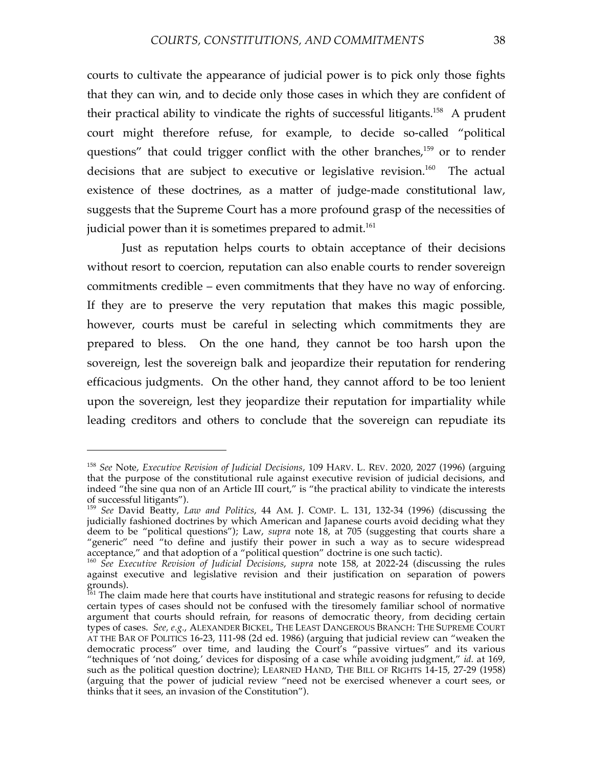courts to cultivate the appearance of judicial power is to pick only those fights that they can win, and to decide only those cases in which they are confident of their practical ability to vindicate the rights of successful litigants.<sup>158</sup> A prudent court might therefore refuse, for example, to decide so-called "political questions" that could trigger conflict with the other branches,<sup>159</sup> or to render decisions that are subject to executive or legislative revision.<sup>160</sup> The actual existence of these doctrines, as a matter of judge-made constitutional law, suggests that the Supreme Court has a more profound grasp of the necessities of judicial power than it is sometimes prepared to admit. 161

Just as reputation helps courts to obtain acceptance of their decisions without resort to coercion, reputation can also enable courts to render sovereign commitments credible – even commitments that they have no way of enforcing. If they are to preserve the very reputation that makes this magic possible, however, courts must be careful in selecting which commitments they are prepared to bless. On the one hand, they cannot be too harsh upon the sovereign, lest the sovereign balk and jeopardize their reputation for rendering efficacious judgments. On the other hand, they cannot afford to be too lenient upon the sovereign, lest they jeopardize their reputation for impartiality while leading creditors and others to conclude that the sovereign can repudiate its

<sup>158</sup> *See* Note, *Executive Revision of Judicial Decisions*, 109 HARV. L. REV. 2020, 2027 (1996) (arguing that the purpose of the constitutional rule against executive revision of judicial decisions, and indeed "the sine qua non of an Article III court," is "the practical ability to vindicate the interests of successful litigants").

<sup>&</sup>lt;sup>159</sup> See David Beatty, *Law and Politics*, 44 AM. J. COMP. L. 131, 132-34 (1996) (discussing the judicially fashioned doctrines by which American and Japanese courts avoid deciding what they deem to be "political questions"); Law, *supra* note 18, at 705 (suggesting that courts share a "generic" need "to define and justify their power in such a way as to secure widespread

acceptance," and that adoption of a "political question" doctrine is one such tactic).<br><sup>160</sup> See Executive Revision of Judicial Decisions, supra note 158, at 2022-24 (discussing the rules against executive and legislative revision and their justification on separation of powers grounds).<br><sup>161</sup> The claim made here that courts have institutional and strategic reasons for refusing to decide

certain types of cases should not be confused with the tiresomely familiar school of normative argument that courts should refrain, for reasons of democratic theory, from deciding certain types of cases. *See, e.g.*, ALEXANDER BICKEL, THE LEAST DANGEROUS BRANCH: THE SUPREME COURT AT THE BAR OF POLITICS 16-23, 111-98 (2d ed. 1986) (arguing that judicial review can "weaken the democratic process" over time, and lauding the Court's "passive virtues" and its various "techniques of 'not doing,' devices for disposing of a case while avoiding judgment," *id.* at 169, such as the political question doctrine); LEARNED HAND, THE BILL OF RIGHTS 14-15, 27-29 (1958) (arguing that the power of judicial review "need not be exercised whenever a court sees, or thinks that it sees, an invasion of the Constitution").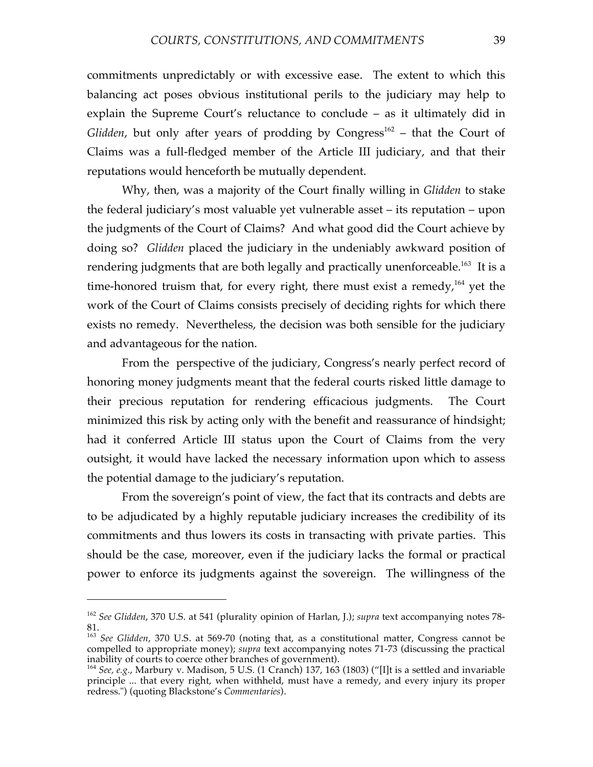commitments unpredictably or with excessive ease. The extent to which this balancing act poses obvious institutional perils to the judiciary may help to explain the Supreme Court's reluctance to conclude – as it ultimately did in Glidden, but only after years of prodding by Congress<sup>162</sup> – that the Court of Claims was a full-fledged member of the Article III judiciary, and that their reputations would henceforth be mutually dependent.

Why, then, was a majority of the Court finally willing in *Glidden* to stake the federal judiciary's most valuable yet vulnerable asset – its reputation – upon the judgments of the Court of Claims? And what good did the Court achieve by doing so? *Glidden* placed the judiciary in the undeniably awkward position of rendering judgments that are both legally and practically unenforceable.<sup>163</sup> It is a time-honored truism that, for every right, there must exist a remedy,<sup>164</sup> yet the work of the Court of Claims consists precisely of deciding rights for which there exists no remedy. Nevertheless, the decision was both sensible for the judiciary and advantageous for the nation.

From the perspective of the judiciary, Congress's nearly perfect record of honoring money judgments meant that the federal courts risked little damage to their precious reputation for rendering efficacious judgments. The Court minimized this risk by acting only with the benefit and reassurance of hindsight; had it conferred Article III status upon the Court of Claims from the very outsight, it would have lacked the necessary information upon which to assess the potential damage to the judiciary's reputation.

From the sovereign's point of view, the fact that its contracts and debts are to be adjudicated by a highly reputable judiciary increases the credibility of its commitments and thus lowers its costs in transacting with private parties. This should be the case, moreover, even if the judiciary lacks the formal or practical power to enforce its judgments against the sovereign. The willingness of the

<sup>162</sup> *See Glidden*, 370 U.S. at 541 (plurality opinion of Harlan, J.); *supra* text accompanying notes 78-

<sup>81.</sup> <sup>163</sup> *See Glidden*, <sup>370</sup> U.S. at 569-70 (noting that, as <sup>a</sup> constitutional matter, Congress cannot be compelled to appropriate money); *supra* text accompanying notes 71-73 (discussing the practical inability of courts to coerce other branches of government). inability of courts to coerce other branches of government).<br><sup>164</sup> *See, e.g.,* Marbury v. Madison, 5 U.S. (1 Cranch) 137, 163 (1803) ("[I]t is a settled and invariable

principle ... that every right, when withheld, must have a remedy, and every injury its proper redress.") (quoting Blackstone's *Commentaries*).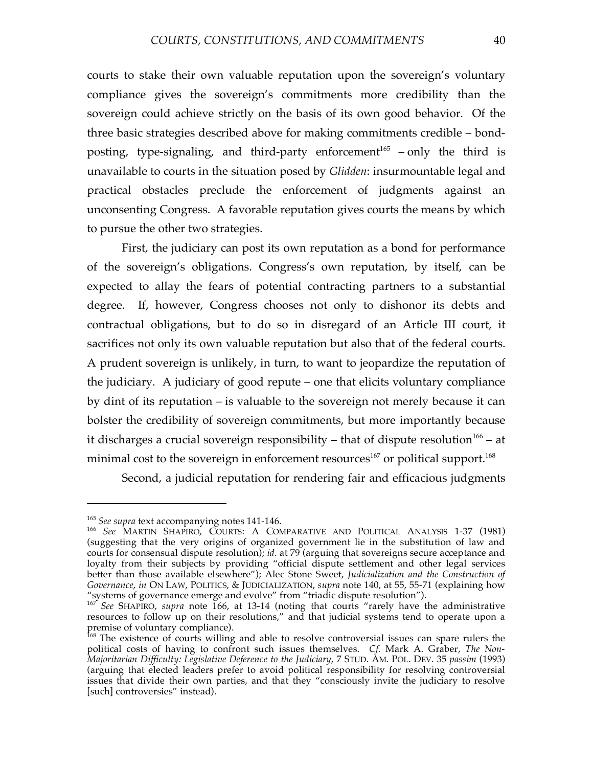courts to stake their own valuable reputation upon the sovereign's voluntary compliance gives the sovereign's commitments more credibility than the sovereign could achieve strictly on the basis of its own good behavior. Of the three basic strategies described above for making commitments credible – bondposting, type-signaling, and third-party enforcement<sup>165</sup> – only the third is unavailable to courts in the situation posed by *Glidden*: insurmountable legal and practical obstacles preclude the enforcement of judgments against an unconsenting Congress. A favorable reputation gives courts the means by which to pursue the other two strategies.

First, the judiciary can post its own reputation as a bond for performance of the sovereign's obligations. Congress's own reputation, by itself, can be expected to allay the fears of potential contracting partners to a substantial degree. If, however, Congress chooses not only to dishonor its debts and contractual obligations, but to do so in disregard of an Article III court, it sacrifices not only its own valuable reputation but also that of the federal courts. A prudent sovereign is unlikely, in turn, to want to jeopardize the reputation of the judiciary. A judiciary of good repute – one that elicits voluntary compliance by dint of its reputation – is valuable to the sovereign not merely because it can bolster the credibility of sovereign commitments, but more importantly because it discharges a crucial sovereign responsibility – that of dispute resolution<sup>166</sup> – at minimal cost to the sovereign in enforcement resources $^{167}$  or political support. $^{168}$ 

Second, a judicial reputation for rendering fair and efficacious judgments

<sup>&</sup>lt;sup>165</sup> See supra text accompanying notes 141-146.<br><sup>166</sup> See MARTIN SHAPIRO, COURTS: A COMPARATIVE AND POLITICAL ANALYSIS 1-37 (1981) (suggesting that the very origins of organized government lie in the substitution of law and courts for consensual dispute resolution); *id.* at 79 (arguing that sovereigns secure acceptance and loyalty from their subjects by providing "official dispute settlement and other legal services better than those available elsewhere"); Alec Stone Sweet, *Judicialization and the Construction of Governance*, *in* ON LAW, POLITICS, & JUDICIALIZATION, *supra* note 140, at 55, 55-71 (explaining how

<sup>&</sup>quot;systems of governance emerge and evolve" from "triadic dispute resolution"). <sup>167</sup> *See* SHAPIRO, *supra* note 166, at 13-14 (noting that courts "rarely have the administrative resources to follow up on their resolutions," and that judicial systems tend to operate upon a premise of voluntary compliance).<br><sup>168</sup> The existence of courts willing and able to resolve controversial issues can spare rulers the

political costs of having to confront such issues themselves. *Cf.* Mark A. Graber, *The Non-Majoritarian Difficulty: Legislative Deference to the Judiciary*, 7 STUD. AM. POL. DEV. 35 *passim* (1993) (arguing that elected leaders prefer to avoid political responsibility for resolving controversial issues that divide their own parties, and that they "consciously invite the judiciary to resolve [such] controversies" instead).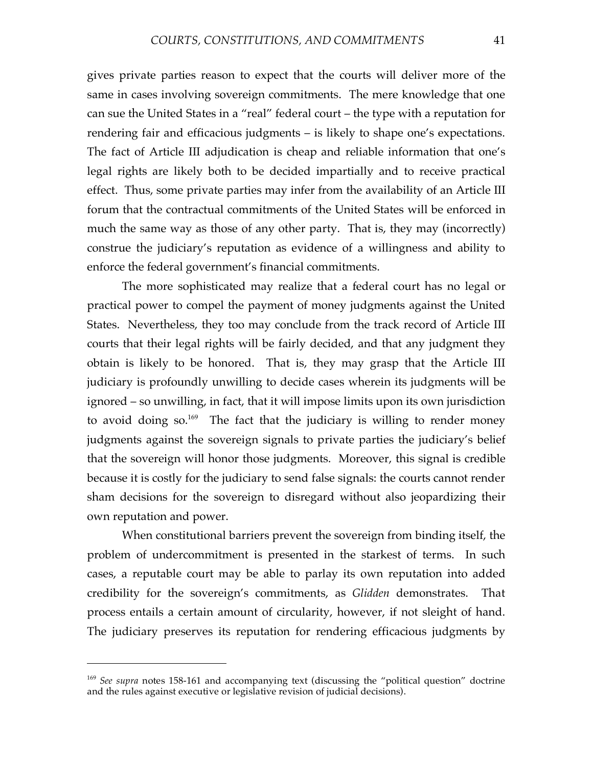gives private parties reason to expect that the courts will deliver more of the same in cases involving sovereign commitments. The mere knowledge that one can sue the United States in a "real" federal court – the type with a reputation for rendering fair and efficacious judgments – is likely to shape one's expectations. The fact of Article III adjudication is cheap and reliable information that one's legal rights are likely both to be decided impartially and to receive practical effect. Thus, some private parties may infer from the availability of an Article III forum that the contractual commitments of the United States will be enforced in much the same way as those of any other party. That is, they may (incorrectly) construe the judiciary's reputation as evidence of a willingness and ability to enforce the federal government's financial commitments.

The more sophisticated may realize that a federal court has no legal or practical power to compel the payment of money judgments against the United States. Nevertheless, they too may conclude from the track record of Article III courts that their legal rights will be fairly decided, and that any judgment they obtain is likely to be honored. That is, they may grasp that the Article III judiciary is profoundly unwilling to decide cases wherein its judgments will be ignored – so unwilling, in fact, that it will impose limits upon its own jurisdiction to avoid doing so.<sup>169</sup> The fact that the judiciary is willing to render money judgments against the sovereign signals to private parties the judiciary's belief that the sovereign will honor those judgments. Moreover, this signal is credible because it is costly for the judiciary to send false signals: the courts cannot render sham decisions for the sovereign to disregard without also jeopardizing their own reputation and power.

When constitutional barriers prevent the sovereign from binding itself, the problem of undercommitment is presented in the starkest of terms. In such cases, a reputable court may be able to parlay its own reputation into added credibility for the sovereign's commitments, as *Glidden* demonstrates. That process entails a certain amount of circularity, however, if not sleight of hand. The judiciary preserves its reputation for rendering efficacious judgments by

<sup>169</sup> *See supra* notes 158-161 and accompanying text (discussing the "political question" doctrine and the rules against executive or legislative revision of judicial decisions).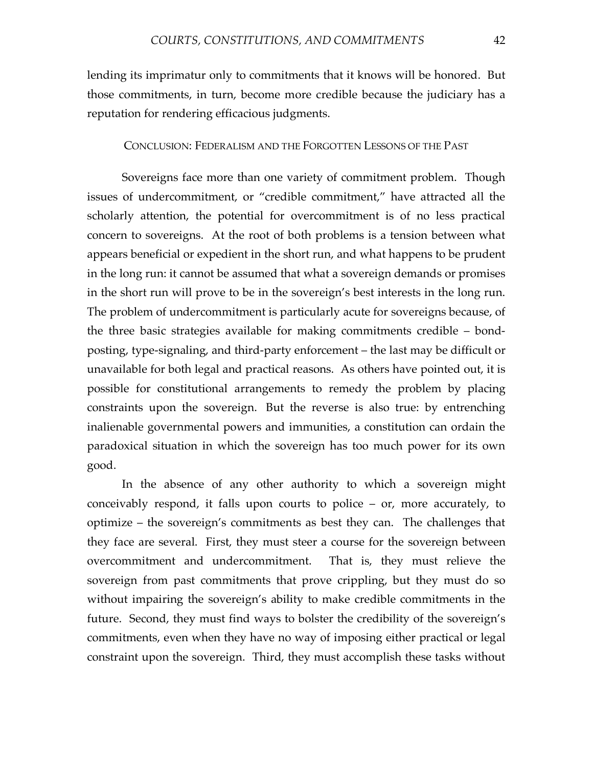lending its imprimatur only to commitments that it knows will be honored. But those commitments, in turn, become more credible because the judiciary has a reputation for rendering efficacious judgments.

CONCLUSION: FEDERALISM AND THE FORGOTTEN LESSONS OF THE PAST

Sovereigns face more than one variety of commitment problem. Though issues of undercommitment, or "credible commitment," have attracted all the scholarly attention, the potential for overcommitment is of no less practical concern to sovereigns. At the root of both problems is a tension between what appears beneficial or expedient in the short run, and what happens to be prudent in the long run: it cannot be assumed that what a sovereign demands or promises in the short run will prove to be in the sovereign's best interests in the long run. The problem of undercommitment is particularly acute for sovereigns because, of the three basic strategies available for making commitments credible – bondposting, type-signaling, and third-party enforcement – the last may be difficult or unavailable for both legal and practical reasons. As others have pointed out, it is possible for constitutional arrangements to remedy the problem by placing constraints upon the sovereign. But the reverse is also true: by entrenching inalienable governmental powers and immunities, a constitution can ordain the paradoxical situation in which the sovereign has too much power for its own good.

In the absence of any other authority to which a sovereign might conceivably respond, it falls upon courts to police – or, more accurately, to optimize – the sovereign's commitments as best they can. The challenges that they face are several. First, they must steer a course for the sovereign between overcommitment and undercommitment. That is, they must relieve the sovereign from past commitments that prove crippling, but they must do so without impairing the sovereign's ability to make credible commitments in the future. Second, they must find ways to bolster the credibility of the sovereign's commitments, even when they have no way of imposing either practical or legal constraint upon the sovereign. Third, they must accomplish these tasks without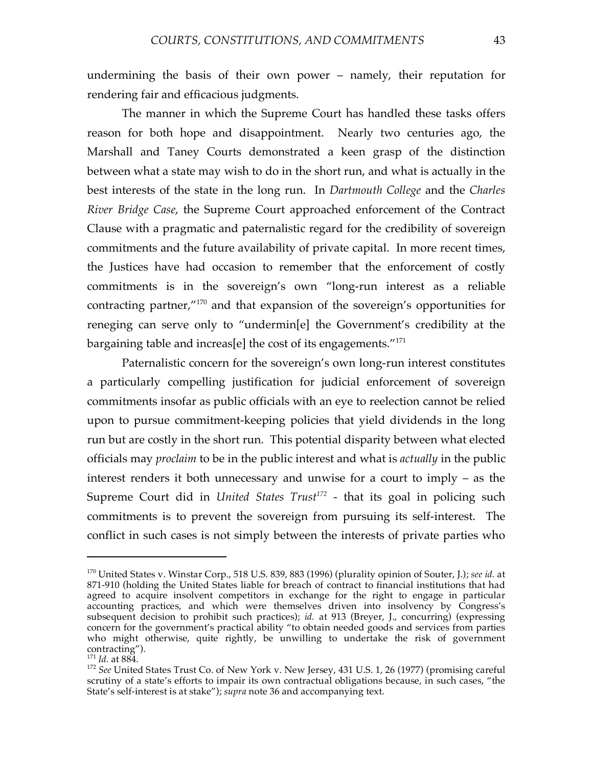undermining the basis of their own power – namely, their reputation for rendering fair and efficacious judgments.

The manner in which the Supreme Court has handled these tasks offers reason for both hope and disappointment. Nearly two centuries ago, the Marshall and Taney Courts demonstrated a keen grasp of the distinction between what a state may wish to do in the short run, and what is actually in the best interests of the state in the long run. In *Dartmouth College* and the *Charles River Bridge Case*, the Supreme Court approached enforcement of the Contract Clause with a pragmatic and paternalistic regard for the credibility of sovereign commitments and the future availability of private capital. In more recent times, the Justices have had occasion to remember that the enforcement of costly commitments is in the sovereign's own "long-run interest as a reliable contracting partner,"170 and that expansion of the sovereign's opportunities for reneging can serve only to "undermin[e] the Government's credibility at the bargaining table and increas[e] the cost of its engagements."171

Paternalistic concern for the sovereign's own long-run interest constitutes a particularly compelling justification for judicial enforcement of sovereign commitments insofar as public officials with an eye to reelection cannot be relied upon to pursue commitment-keeping policies that yield dividends in the long run but are costly in the short run. This potential disparity between what elected officials may *proclaim* to be in the public interest and what is *actually* in the public interest renders it both unnecessary and unwise for a court to imply – as the Supreme Court did in *United States Trust <sup>172</sup>* - that its goal in policing such commitments is to prevent the sovereign from pursuing its self-interest. The conflict in such cases is not simply between the interests of private parties who

<sup>170</sup> United States v. Winstar Corp., 518 U.S. 839, 883 (1996) (plurality opinion of Souter, J.); *see id.* at 871-910 (holding the United States liable for breach of contract to financial institutions that had agreed to acquire insolvent competitors in exchange for the right to engage in particular accounting practices, and which were themselves driven into insolvency by Congress's subsequent decision to prohibit such practices); *id.* at 913 (Breyer, J., concurring) (expressing concern for the government's practical ability "to obtain needed goods and services from parties who might otherwise, quite rightly, be unwilling to undertake the risk of government contracting").

<sup>&</sup>lt;sup>171</sup> *Id.* at 884.<br><sup>172</sup> *See* United States Trust Co. of New York v. New Jersey, 431 U.S. 1, 26 (1977) (promising careful scrutiny of a state's efforts to impair its own contractual obligations because, in such cases, "the State's self-interest is at stake"); *supra* note 36 and accompanying text.